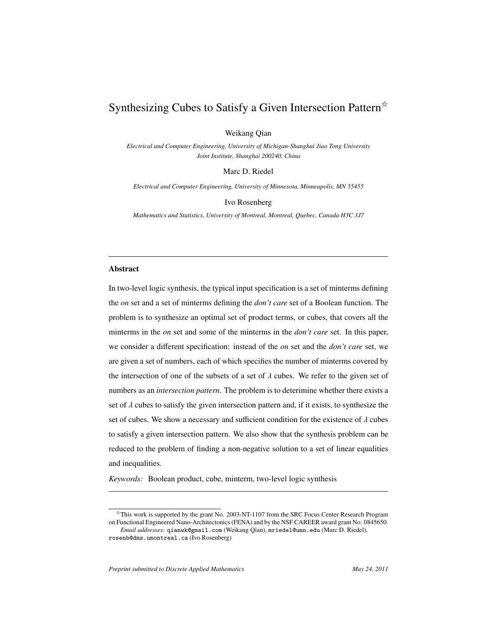# Synthesizing Cubes to Satisfy a Given Intersection Pattern<sup> $\dot{\varphi}$ </sup>

Weikang Qian

*Electrical and Computer Engineering, University of Michigan-Shanghai Jiao Tong University Joint Institute, Shanghai 200240, China*

Marc D. Riedel

*Electrical and Computer Engineering, University of Minnesota, Minneapolis, MN 55455*

Ivo Rosenberg

*Mathematics and Statistics, University of Montreal, Montreal, Quebec, Canada H3C 3J7*

#### Abstract

In two-level logic synthesis, the typical input specification is a set of minterms defining the *on* set and a set of minterms defining the *don't care* set of a Boolean function. The problem is to synthesize an optimal set of product terms, or cubes, that covers all the minterms in the *on* set and some of the minterms in the *don't care* set. In this paper, we consider a different specification: instead of the *on* set and the *don't care* set, we are given a set of numbers, each of which specifies the number of minterms covered by the intersection of one of the subsets of a set of  $\lambda$  cubes. We refer to the given set of numbers as an *intersection pattern*. The problem is to deterimine whether there exists a set of  $\lambda$  cubes to satisfy the given intersection pattern and, if it exists, to synthesize the set of cubes. We show a necessary and sufficient condition for the existence of  $\lambda$  cubes to satisfy a given intersection pattern. We also show that the synthesis problem can be reduced to the problem of finding a non-negative solution to a set of linear equalities and inequalities.

*Keywords:* Boolean product, cube, minterm, two-level logic synthesis

<sup>✩</sup>This work is supported by the grant No. 2003-NT-1107 from the SRC Focus Center Research Program on Functional Engineered Nano-Architectonics (FENA) and by the NSF CAREER award grant No. 0845650.

*Email addresses:* qianwk@gmail.com (Weikang Qian), mriedel@umn.edu (Marc D. Riedel), rosenb@dms.umontreal.ca (Ivo Rosenberg)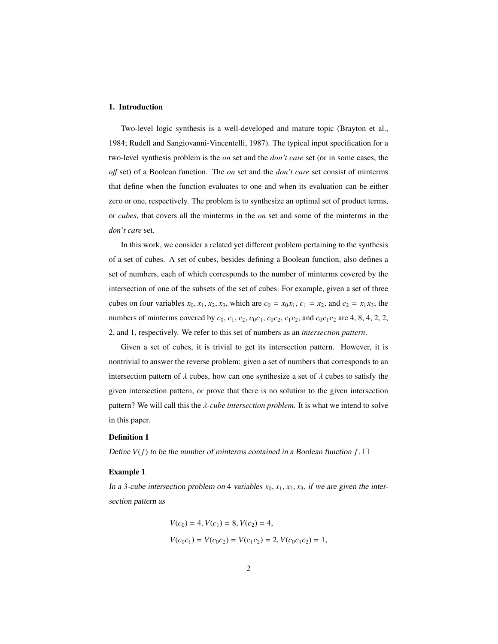# 1. Introduction

Two-level logic synthesis is a well-developed and mature topic (Brayton et al., 1984; Rudell and Sangiovanni-Vincentelli, 1987). The typical input specification for a two-level synthesis problem is the *on* set and the *don't care* set (or in some cases, the *o*ff set) of a Boolean function. The *on* set and the *don't care* set consist of minterms that define when the function evaluates to one and when its evaluation can be either zero or one, respectively. The problem is to synthesize an optimal set of product terms, or *cubes*, that covers all the minterms in the *on* set and some of the minterms in the *don't care* set.

In this work, we consider a related yet different problem pertaining to the synthesis of a set of cubes. A set of cubes, besides defining a Boolean function, also defines a set of numbers, each of which corresponds to the number of minterms covered by the intersection of one of the subsets of the set of cubes. For example, given a set of three cubes on four variables  $x_0$ ,  $x_1$ ,  $x_2$ ,  $x_3$ , which are  $c_0 = x_0x_1$ ,  $c_1 = x_2$ , and  $c_2 = x_1x_3$ , the numbers of minterms covered by  $c_0$ ,  $c_1$ ,  $c_2$ ,  $c_0c_1$ ,  $c_0c_2$ ,  $c_1c_2$ , and  $c_0c_1c_2$  are 4, 8, 4, 2, 2, 2, and 1, respectively. We refer to this set of numbers as an *intersection pattern*.

Given a set of cubes, it is trivial to get its intersection pattern. However, it is nontrivial to answer the reverse problem: given a set of numbers that corresponds to an intersection pattern of  $\lambda$  cubes, how can one synthesize a set of  $\lambda$  cubes to satisfy the given intersection pattern, or prove that there is no solution to the given intersection pattern? We will call this the λ*-cube intersection problem*. It is what we intend to solve in this paper.

# Definition 1

Define  $V(f)$  to be the number of minterms contained in a Boolean function  $f$ .  $\Box$ 

### Example 1

In a 3-cube intersection problem on 4 variables  $x_0, x_1, x_2, x_3$ , if we are given the intersection pattern as

$$
V(c_0) = 4, V(c_1) = 8, V(c_2) = 4,
$$
  

$$
V(c_0c_1) = V(c_0c_2) = V(c_1c_2) = 2, V(c_0c_1c_2) = 1,
$$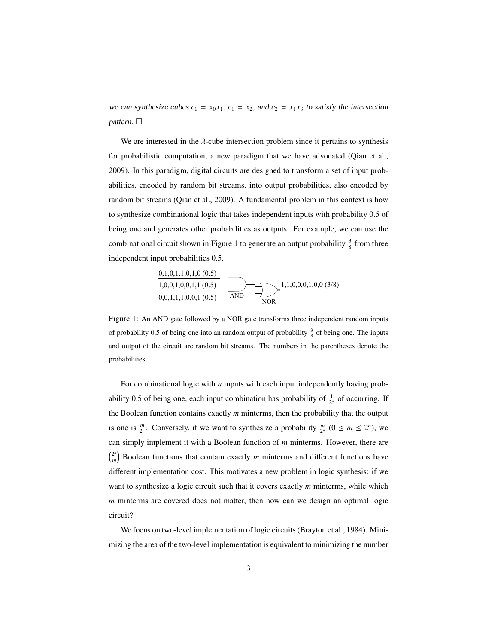we can synthesize cubes  $c_0 = x_0 x_1$ ,  $c_1 = x_2$ , and  $c_2 = x_1 x_3$  to satisfy the intersection pattern.  $\Box$ 

We are interested in the  $\lambda$ -cube intersection problem since it pertains to synthesis for probabilistic computation, a new paradigm that we have advocated (Qian et al., 2009). In this paradigm, digital circuits are designed to transform a set of input probabilities, encoded by random bit streams, into output probabilities, also encoded by random bit streams (Qian et al., 2009). A fundamental problem in this context is how to synthesize combinational logic that takes independent inputs with probability 0.5 of being one and generates other probabilities as outputs. For example, we can use the combinational circuit shown in Figure 1 to generate an output probability  $\frac{3}{8}$  from three independent input probabilities 0.5.



Figure 1: An AND gate followed by a NOR gate transforms three independent random inputs of probability 0.5 of being one into an random output of probability  $\frac{3}{8}$  of being one. The inputs and output of the circuit are random bit streams. The numbers in the parentheses denote the probabilities.

For combinational logic with *n* inputs with each input independently having probability 0.5 of being one, each input combination has probability of  $\frac{1}{2^n}$  of occurring. If the Boolean function contains exactly *m* minterms, then the probability that the output is one is  $\frac{m}{2^n}$ . Conversely, if we want to synthesize a probability  $\frac{m}{2^n}$   $(0 \le m \le 2^n)$ , we can simply implement it with a Boolean function of *m* minterms. However, there are  $(2^n)$  $\binom{2^n}{m}$  Boolean functions that contain exactly *m* minterms and different functions have different implementation cost. This motivates a new problem in logic synthesis: if we want to synthesize a logic circuit such that it covers exactly *m* minterms, while which *m* minterms are covered does not matter, then how can we design an optimal logic circuit?

We focus on two-level implementation of logic circuits (Brayton et al., 1984). Minimizing the area of the two-level implementation is equivalent to minimizing the number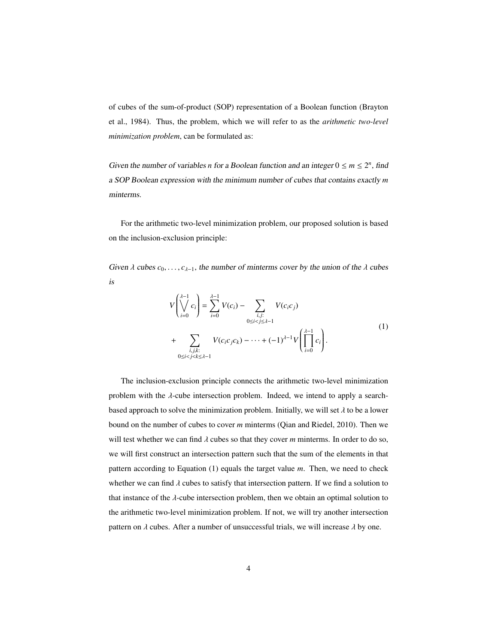of cubes of the sum-of-product (SOP) representation of a Boolean function (Brayton et al., 1984). Thus, the problem, which we will refer to as the *arithmetic two-level minimization problem*, can be formulated as:

Given the number of variables *n* for a Boolean function and an integer  $0 \le m \le 2^n$ , find a SOP Boolean expression with the minimum number of cubes that contains exactly *m* minterms.

For the arithmetic two-level minimization problem, our proposed solution is based on the inclusion-exclusion principle:

Given  $\lambda$  cubes  $c_0, \ldots, c_{\lambda-1}$ , the number of minterms cover by the union of the  $\lambda$  cubes is

$$
V\left(\bigvee_{i=0}^{\lambda-1} c_i\right) = \sum_{i=0}^{\lambda-1} V(c_i) - \sum_{\substack{i,j:\\0 \le i < j \le \lambda-1}} V(c_i c_j) \\
+ \sum_{\substack{i,j,k:\\0 \le i < j < k \le \lambda-1}} V(c_i c_j c_k) - \dots + (-1)^{\lambda-1} V\left(\prod_{i=0}^{\lambda-1} c_i\right).
$$
\n(1)

The inclusion-exclusion principle connects the arithmetic two-level minimization problem with the  $\lambda$ -cube intersection problem. Indeed, we intend to apply a searchbased approach to solve the minimization problem. Initially, we will set  $\lambda$  to be a lower bound on the number of cubes to cover *m* minterms (Qian and Riedel, 2010). Then we will test whether we can find  $\lambda$  cubes so that they cover  $m$  minterms. In order to do so, we will first construct an intersection pattern such that the sum of the elements in that pattern according to Equation (1) equals the target value *m*. Then, we need to check whether we can find  $\lambda$  cubes to satisfy that intersection pattern. If we find a solution to that instance of the  $\lambda$ -cube intersection problem, then we obtain an optimal solution to the arithmetic two-level minimization problem. If not, we will try another intersection pattern on  $\lambda$  cubes. After a number of unsuccessful trials, we will increase  $\lambda$  by one.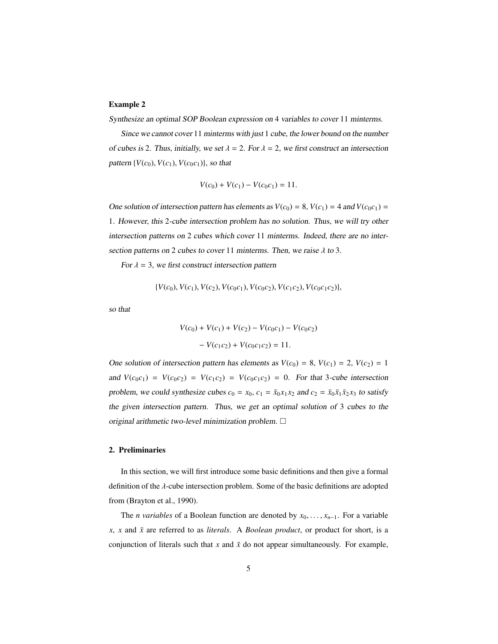# Example 2

Synthesize an optimal SOP Boolean expression on 4 variables to cover 11 minterms.

Since we cannot cover 11 minterms with just 1 cube, the lower bound on the number of cubes is 2. Thus, initially, we set  $\lambda = 2$ . For  $\lambda = 2$ , we first construct an intersection pattern  $\{V(c_0), V(c_1), V(c_0c_1)\}$ , so that

$$
V(c_0) + V(c_1) - V(c_0c_1) = 11.
$$

One solution of intersection pattern has elements as  $V(c_0) = 8$ ,  $V(c_1) = 4$  and  $V(c_0c_1) =$ 1. However, this 2-cube intersection problem has no solution. Thus, we will try other intersection patterns on 2 cubes which cover 11 minterms. Indeed, there are no intersection patterns on 2 cubes to cover 11 minterms. Then, we raise  $\lambda$  to 3.

For  $\lambda = 3$ , we first construct intersection pattern

$$
\{V(c_0), V(c_1), V(c_2), V(c_0c_1), V(c_0c_2), V(c_1c_2), V(c_0c_1c_2)\},\
$$

so that

$$
V(c_0) + V(c_1) + V(c_2) - V(c_0c_1) - V(c_0c_2)
$$

$$
- V(c_1c_2) + V(c_0c_1c_2) = 11.
$$

One solution of intersection pattern has elements as  $V(c_0) = 8$ ,  $V(c_1) = 2$ ,  $V(c_2) = 1$ and  $V(c_0c_1) = V(c_0c_2) = V(c_1c_2) = V(c_0c_1c_2) = 0$ . For that 3-cube intersection problem, we could synthesize cubes  $c_0 = x_0$ ,  $c_1 = \bar{x}_0 x_1 x_2$  and  $c_2 = \bar{x}_0 \bar{x}_1 \bar{x}_2 x_3$  to satisfy the given intersection pattern. Thus, we get an optimal solution of 3 cubes to the original arithmetic two-level minimization problem.  $\Box$ 

# 2. Preliminaries

In this section, we will first introduce some basic definitions and then give a formal definition of the λ-cube intersection problem. Some of the basic definitions are adopted from (Brayton et al., 1990).

The *n variables* of a Boolean function are denoted by  $x_0, \ldots, x_{n-1}$ . For a variable  $x$ ,  $x$  and  $\bar{x}$  are referred to as *literals*. A *Boolean product*, or product for short, is a conjunction of literals such that  $x$  and  $\bar{x}$  do not appear simultaneously. For example,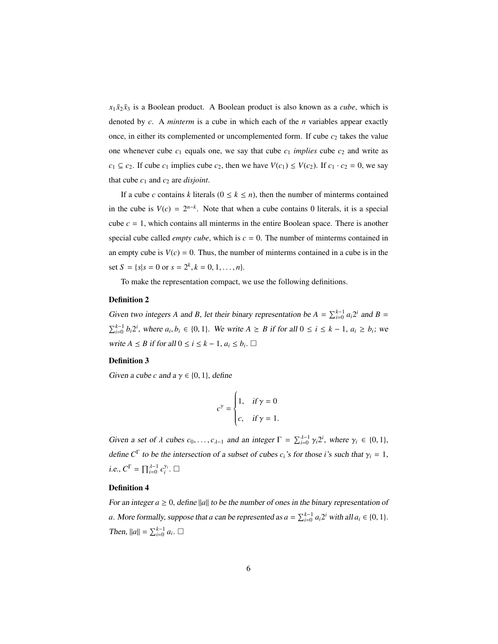$x_1 \bar{x}_2 \bar{x}_3$  is a Boolean product. A Boolean product is also known as a *cube*, which is denoted by *c*. A *minterm* is a cube in which each of the *n* variables appear exactly once, in either its complemented or uncomplemented form. If cube  $c_2$  takes the value one whenever cube  $c_1$  equals one, we say that cube  $c_1$  *implies* cube  $c_2$  and write as *c*<sub>1</sub> ⊆ *c*<sub>2</sub>. If cube *c*<sub>1</sub> implies cube *c*<sub>2</sub>, then we have *V*(*c*<sub>1</sub>) ≤ *V*(*c*<sub>2</sub>). If *c*<sub>1</sub> ⋅ *c*<sub>2</sub> = 0, we say that cube  $c_1$  and  $c_2$  are *disjoint*.

If a cube *c* contains *k* literals  $(0 \le k \le n)$ , then the number of minterms contained in the cube is  $V(c) = 2^{n-k}$ . Note that when a cube contains 0 literals, it is a special cube  $c = 1$ , which contains all minterms in the entire Boolean space. There is another special cube called *empty cube*, which is  $c = 0$ . The number of minterms contained in an empty cube is  $V(c) = 0$ . Thus, the number of minterms contained in a cube is in the set  $S = \{s | s = 0 \text{ or } s = 2^k, k = 0, 1, ..., n\}.$ 

To make the representation compact, we use the following definitions.

# Definition 2

Given two integers *A* and *B*, let their binary representation be  $A = \sum_{i=0}^{k-1} a_i 2^i$  and  $B =$  $\sum_{i=0}^{k-1} b_i 2^i$ , where  $a_i, b_i \in \{0, 1\}$ . We write  $A \geq B$  if for all  $0 \leq i \leq k-1$ ,  $a_i \geq b_i$ ; we write *A* ≤ *B* if for all  $0 \le i \le k - 1$ ,  $a_i \le b_i$ . □

### Definition 3

Given a cube *c* and  $a \gamma \in \{0, 1\}$ , define

$$
c^{\gamma} = \begin{cases} 1, & \text{if } \gamma = 0 \\ c, & \text{if } \gamma = 1. \end{cases}
$$

Given a set of  $\lambda$  cubes  $c_0, \ldots, c_{\lambda-1}$  and an integer  $\Gamma = \sum_{i=0}^{\lambda-1} \gamma_i 2^i$ , where  $\gamma_i \in \{0, 1\}$ , define  $C^{\Gamma}$  to be the intersection of a subset of cubes *c<sub>i</sub>*'s for those *i*'s such that  $\gamma_i = 1$ , *i.e.,*  $C^{\Gamma} = \prod_{i=0}^{\lambda-1} c_i^{\gamma_i}$ .  $\Box$ 

# Definition 4

For an integer  $a \geq 0$ , define ||a|| to be the number of ones in the binary representation of *a*. More formally, suppose that *a* can be represented as  $a = \sum_{i=0}^{k-1} a_i 2^i$  with all  $a_i \in \{0, 1\}$ . *Then*,  $||a|| = \sum_{i=0}^{k-1} a_i$ . □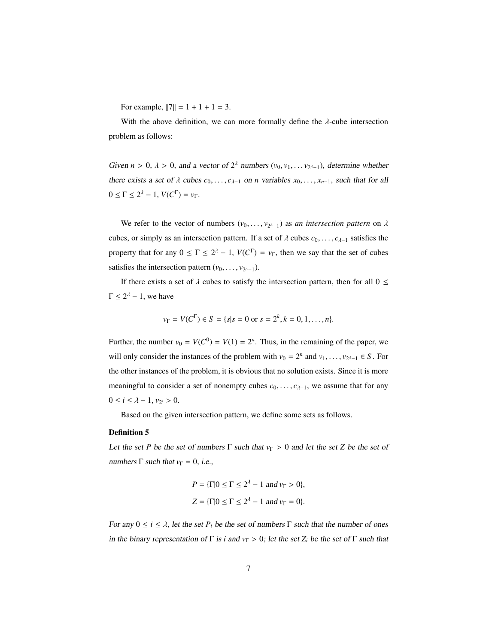For example,  $||7|| = 1 + 1 + 1 = 3$ .

With the above definition, we can more formally define the  $\lambda$ -cube intersection problem as follows:

Given *n* > 0,  $\lambda$  > 0, and a vector of  $2^{\lambda}$  numbers ( $v_0, v_1, \ldots v_{2^{\lambda-1}}$ ), determine whether there exists a set of  $\lambda$  cubes  $c_0, \ldots, c_{\lambda-1}$  on *n* variables  $x_0, \ldots, x_{n-1}$ , such that for all  $0 \leq \Gamma$  ≤ 2<sup>λ</sup> − 1, *V*(*C*<sup>Γ</sup>) = *ν*<sub>Γ</sub>.

We refer to the vector of numbers  $(v_0, \ldots, v_{2^{\lambda-1}})$  as *an intersection pattern* on  $\lambda$ cubes, or simply as an intersection pattern. If a set of  $\lambda$  cubes  $c_0, \ldots, c_{\lambda-1}$  satisfies the property that for any  $0 \leq \Gamma \leq 2^{\lambda} - 1$ ,  $V(C^{\Gamma}) = v_{\Gamma}$ , then we say that the set of cubes satisfies the intersection pattern  $(v_0, \ldots, v_{2^{\lambda}-1})$ .

If there exists a set of  $\lambda$  cubes to satisfy the intersection pattern, then for all  $0 \leq$  $\Gamma \leq 2^{\lambda} - 1$ , we have

$$
v_{\Gamma} = V(C^{\Gamma}) \in S = \{s | s = 0 \text{ or } s = 2^{k}, k = 0, 1, ..., n\}.
$$

Further, the number  $v_0 = V(C^0) = V(1) = 2^n$ . Thus, in the remaining of the paper, we will only consider the instances of the problem with  $v_0 = 2^n$  and  $v_1, \ldots, v_{2^{\lambda-1}} \in S$ . For the other instances of the problem, it is obvious that no solution exists. Since it is more meaningful to consider a set of nonempty cubes  $c_0, \ldots, c_{\lambda-1}$ , we assume that for any 0 ≤ *i* ≤  $\lambda$  − 1,  $v_{2^i}$  > 0.

Based on the given intersection pattern, we define some sets as follows.

#### Definition 5

Let the set *P* be the set of numbers  $\Gamma$  such that  $v_{\Gamma} > 0$  and let the set *Z* be the set of numbers  $\Gamma$  such that  $v_{\Gamma} = 0$ , *i.e.*,

$$
P = \{\Gamma | 0 \le \Gamma \le 2^{\lambda} - 1 \text{ and } v_{\Gamma} > 0\},\
$$
  

$$
Z = \{\Gamma | 0 \le \Gamma \le 2^{\lambda} - 1 \text{ and } v_{\Gamma} = 0\}.
$$

For any  $0 \le i \le \lambda$ , let the set  $P_i$  be the set of numbers  $\Gamma$  such that the number of ones in the binary representation of  $\Gamma$  is *i* and  $v_{\Gamma} > 0$ ; let the set  $Z_i$  be the set of  $\Gamma$  such that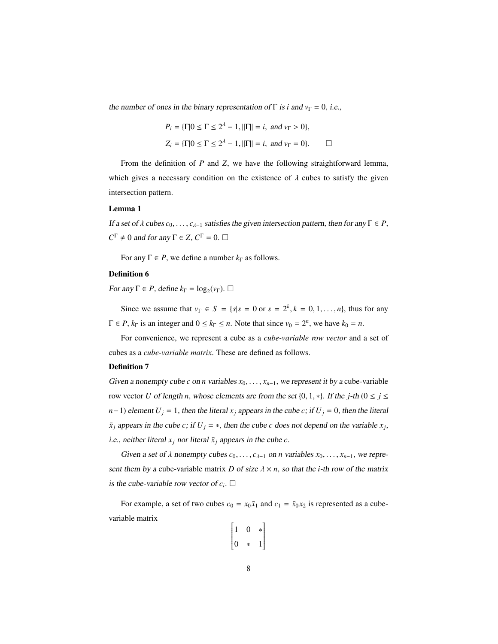the number of ones in the binary representation of  $\Gamma$  is *i* and  $v_{\Gamma} = 0$ , *i.e.*,

$$
P_i = \{\Gamma | 0 \le \Gamma \le 2^{\lambda} - 1, ||\Gamma|| = i, \text{ and } v_{\Gamma} > 0\},
$$
  

$$
Z_i = \{\Gamma | 0 \le \Gamma \le 2^{\lambda} - 1, ||\Gamma|| = i, \text{ and } v_{\Gamma} = 0\}.
$$

From the definition of *P* and *Z*, we have the following straightforward lemma, which gives a necessary condition on the existence of  $\lambda$  cubes to satisfy the given intersection pattern.

#### Lemma 1

If a set of λ cubes  $c_0$ , . . . ,  $c_{λ-1}$  satisfies the given intersection pattern, then for any Γ ∈ *P*,  $C^{\Gamma} \neq 0$  and for any  $\Gamma \in Z$ ,  $C^{\Gamma} = 0$ .  $\Box$ 

For any  $\Gamma \in P$ , we define a number  $k_{\Gamma}$  as follows.

### Definition 6

For any  $\Gamma \in P$ , define  $k_{\Gamma} = \log_2(v_{\Gamma})$ .  $\Box$ 

Since we assume that  $v_{\Gamma} \in S = \{s | s = 0 \text{ or } s = 2^k, k = 0, 1, ..., n\}$ , thus for any  $\Gamma \in P$ ,  $k_{\Gamma}$  is an integer and  $0 \le k_{\Gamma} \le n$ . Note that since  $v_0 = 2^n$ , we have  $k_0 = n$ .

For convenience, we represent a cube as a *cube-variable row vector* and a set of cubes as a *cube-variable matrix*. These are defined as follows.

# Definition 7

Given a nonempty cube *c* on *n* variables  $x_0, \ldots, x_{n-1}$ , we represent it by a cube-variable row vector *U* of length *n*, whose elements are from the set {0, 1,  $*$ }. If the *j*-th ( $0 \le j \le$ *n*−1) element  $U_j = 1$ , then the literal  $x_j$  appears in the cube *c*; if  $U_j = 0$ , then the literal  $\bar{x}_j$  appears in the cube *c*; if  $U_j = *$ , then the cube *c* does not depend on the variable  $x_j$ , i.e., neither literal  $x_j$  nor literal  $\bar{x}_j$  appears in the cube *c*.

Given a set of  $\lambda$  nonempty cubes  $c_0, \ldots, c_{\lambda-1}$  on *n* variables  $x_0, \ldots, x_{n-1}$ , we represent them by a cube-variable matrix *D* of size  $\lambda \times n$ , so that the *i*-th row of the matrix is the cube-variable row vector of  $c_i$ .  $\Box$ 

For example, a set of two cubes  $c_0 = x_0 \bar{x}_1$  and  $c_1 = \bar{x}_0 x_2$  is represented as a cubevariable matrix

$$
\begin{bmatrix} 1 & 0 & * \\ 0 & * & 1 \end{bmatrix}
$$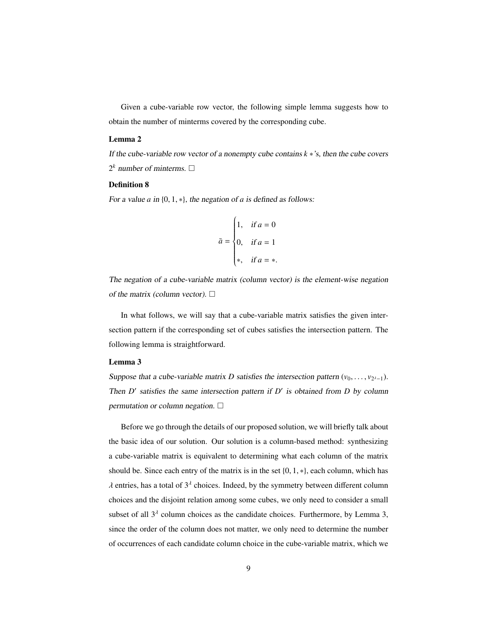Given a cube-variable row vector, the following simple lemma suggests how to obtain the number of minterms covered by the corresponding cube.

#### Lemma 2

If the cube-variable row vector of a nonempty cube contains *k* ∗'s, then the cube covers  $2^k$  number of minterms.  $\Box$ 

# Definition 8

For a value *<sup>a</sup>* in {0, <sup>1</sup>, ∗}, the negation of *<sup>a</sup>* is defined as follows:

$$
\bar{a} = \begin{cases} 1, & \text{if } a = 0 \\ 0, & \text{if } a = 1 \\ \ast, & \text{if } a = \ast. \end{cases}
$$

The negation of a cube-variable matrix (column vector) is the element-wise negation of the matrix (column vector).  $\Box$ 

In what follows, we will say that a cube-variable matrix satisfies the given intersection pattern if the corresponding set of cubes satisfies the intersection pattern. The following lemma is straightforward.

### Lemma 3

Suppose that a cube-variable matrix *D* satisfies the intersection pattern  $(v_0, \ldots, v_{2^{\lambda-1}})$ . Then  $D'$  satisfies the same intersection pattern if  $D'$  is obtained from  $D$  by column permutation or column negation.  $\square$ 

Before we go through the details of our proposed solution, we will briefly talk about the basic idea of our solution. Our solution is a column-based method: synthesizing a cube-variable matrix is equivalent to determining what each column of the matrix should be. Since each entry of the matrix is in the set  $\{0, 1, *\}$ , each column, which has  $\lambda$  entries, has a total of  $3^{\lambda}$  choices. Indeed, by the symmetry between different column choices and the disjoint relation among some cubes, we only need to consider a small subset of all  $3<sup>\lambda</sup>$  column choices as the candidate choices. Furthermore, by Lemma 3, since the order of the column does not matter, we only need to determine the number of occurrences of each candidate column choice in the cube-variable matrix, which we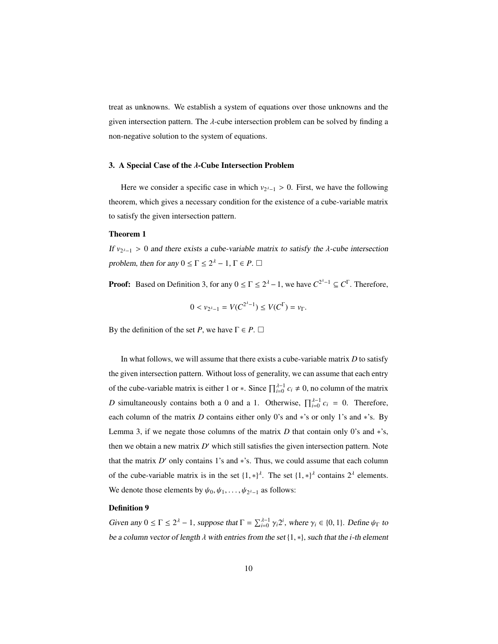treat as unknowns. We establish a system of equations over those unknowns and the given intersection pattern. The  $\lambda$ -cube intersection problem can be solved by finding a non-negative solution to the system of equations.

# 3. A Special Case of the λ-Cube Intersection Problem

Here we consider a specific case in which  $v_{2^{\lambda}-1} > 0$ . First, we have the following theorem, which gives a necessary condition for the existence of a cube-variable matrix to satisfy the given intersection pattern.

#### Theorem 1

If  $v_{2^{\lambda}-1} > 0$  and there exists a cube-variable matrix to satisfy the  $\lambda$ -cube intersection problem, then for any  $0 \le \Gamma \le 2^{\lambda} - 1$ ,  $\Gamma \in P$ .  $\Box$ 

**Proof:** Based on Definition 3, for any  $0 \le \Gamma \le 2^{\lambda} - 1$ , we have  $C^{2^{\lambda}-1} \subseteq C^{\Gamma}$ . Therefore,

$$
0 < \nu_{2^{\lambda}-1} = V(C^{2^{\lambda}-1}) \le V(C^{\Gamma}) = \nu_{\Gamma}.
$$

By the definition of the set *P*, we have  $\Gamma \in P$ .  $\Box$ 

In what follows, we will assume that there exists a cube-variable matrix *D* to satisfy the given intersection pattern. Without loss of generality, we can assume that each entry of the cube-variable matrix is either 1 or  $*$ . Since  $\prod_{i=0}^{\lambda-1} c_i \neq 0$ , no column of the matrix *D* simultaneously contains both a 0 and a 1. Otherwise,  $\prod_{i=0}^{\lambda-1} c_i = 0$ . Therefore, each column of the matrix *D* contains either only 0's and ∗'s or only 1's and ∗'s. By Lemma 3, if we negate those columns of the matrix  $D$  that contain only 0's and  $*$ 's, then we obtain a new matrix *D'* which still satisfies the given intersection pattern. Note that the matrix  $D'$  only contains 1's and  $*$ 's. Thus, we could assume that each column of the cube-variable matrix is in the set  $\{1,*\}^{\lambda}$ . The set  $\{1,*\}^{\lambda}$  contains  $2^{\lambda}$  elements. We denote those elements by  $\psi_0, \psi_1, \dots, \psi_{2^{\lambda}-1}$  as follows:

#### Definition 9

Given any  $0 \le \Gamma \le 2^{\lambda} - 1$ , suppose that  $\Gamma = \sum_{i=0}^{\lambda-1} \gamma_i 2^i$ , where  $\gamma_i \in \{0, 1\}$ . Define  $\psi_{\Gamma}$  to be a column vector of length λ with entries from the set {1, ∗}, such that the *<sup>i</sup>*-th element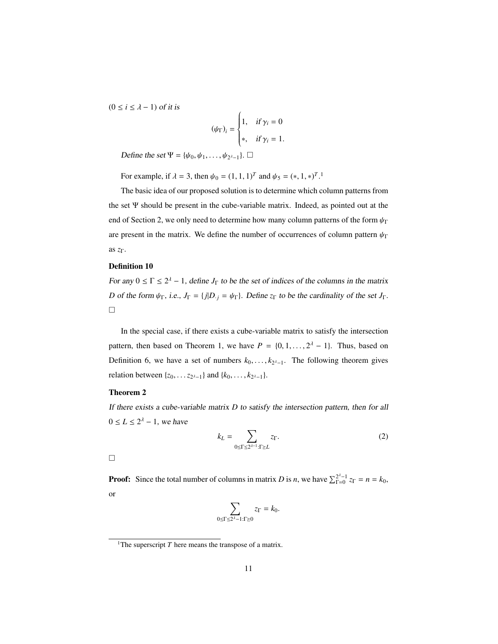$(0 \le i \le \lambda - 1)$  of it is

$$
(\psi_{\Gamma})_i = \begin{cases} 1, & \text{if } \gamma_i = 0 \\ *, & \text{if } \gamma_i = 1. \end{cases}
$$

Define the set  $\Psi = {\psi_0, \psi_1, \dots, \psi_{2^{\lambda}-1}}$ .  $\Box$ 

For example, if  $\lambda = 3$ , then  $\psi_0 = (1, 1, 1)^T$  and  $\psi_5 = (*, 1, *)^T$ .<sup>1</sup>

The basic idea of our proposed solution is to determine which column patterns from the set Ψ should be present in the cube-variable matrix. Indeed, as pointed out at the end of Section 2, we only need to determine how many column patterns of the form  $\psi_{\Gamma}$ are present in the matrix. We define the number of occurrences of column pattern  $\psi_{\Gamma}$ as *z*Γ.

#### Definition 10

For any  $0 \le \Gamma \le 2^{\lambda} - 1$ , define  $J_{\Gamma}$  to be the set of indices of the columns in the matrix *D* of the form  $\psi_{\Gamma}$ , i.e.,  $J_{\Gamma} = \{j | D_{\cdot j} = \psi_{\Gamma}\}\$ . Define  $z_{\Gamma}$  to be the cardinality of the set  $J_{\Gamma}$ .  $\Box$ 

In the special case, if there exists a cube-variable matrix to satisfy the intersection pattern, then based on Theorem 1, we have  $P = \{0, 1, ..., 2^d - 1\}$ . Thus, based on Definition 6, we have a set of numbers  $k_0, \ldots, k_{2^{\lambda-1}}$ . The following theorem gives relation between  $\{z_0, \ldots, z_{2^{\lambda-1}}\}$  and  $\{k_0, \ldots, k_{2^{\lambda-1}}\}$ .

# Theorem 2

If there exists a cube-variable matrix *D* to satisfy the intersection pattern, then for all  $0 \le L \le 2^{\lambda} - 1$ , we have

$$
k_L = \sum_{0 \le \Gamma \le 2^{\lambda - 1}: \Gamma \ge L} z_{\Gamma}. \tag{2}
$$

 $\Box$ 

**Proof:** Since the total number of columns in matrix *D* is *n*, we have  $\sum_{\text{F=0}}^{2^{\lambda}-1} z_{\text{F}} = n = k_0$ , or

$$
\sum_{0\leq \Gamma\leq 2^{\lambda}-1:\Gamma\geq 0}z_{\Gamma}=k_{0}.
$$

<sup>&</sup>lt;sup>1</sup>The superscript  $T$  here means the transpose of a matrix.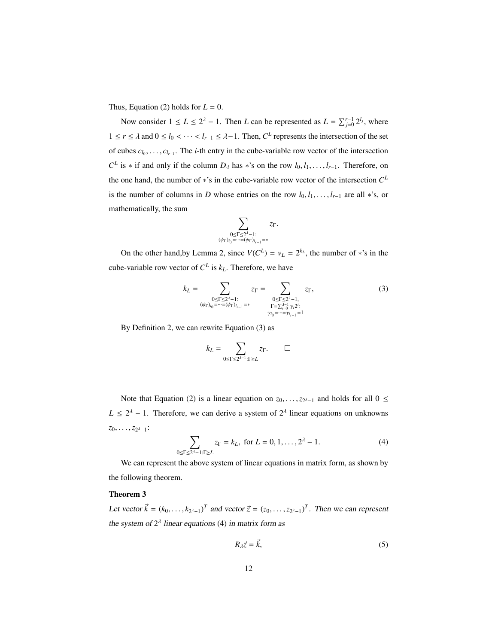Thus, Equation (2) holds for  $L = 0$ .

Now consider  $1 \le L \le 2^{\lambda} - 1$ . Then *L* can be represented as  $L = \sum_{j=0}^{r-1} 2^{l_j}$ , where  $1 \le r \le \lambda$  and  $0 \le l_0 < \cdots < l_{r-1} \le \lambda - 1$ . Then,  $C^L$  represents the intersection of the set of cubes  $c_{l_0}, \ldots, c_{l_{r-1}}$ . The *i*-th entry in the cube-variable row vector of the intersection  $C^L$  is  $*$  if and only if the column *D*<sub>*i*</sub> has  $*$ 's on the row *l*<sub>0</sub>, *l*<sub>1</sub>, . . . , *l*<sub>*r*−1</sub>. Therefore, on the one hand, the number of ∗'s in the cube-variable row vector of the intersection *C L* is the number of columns in *D* whose entries on the row  $l_0, l_1, \ldots, l_{r-1}$  are all ∗'s, or mathematically, the sum

$$
\sum_{\substack{0\leq \Gamma\leq 2^\lambda-1:\\(\psi_\Gamma)_{i_0}=\cdots=(\psi_\Gamma)_{i_{r-1}}=\ast}}z_\Gamma.
$$

On the other hand, by Lemma 2, since  $V(C^L) = v_L = 2^{k_L}$ , the number of \*'s in the cube-variable row vector of  $C^L$  is  $k_L$ . Therefore, we have

$$
k_L = \sum_{\substack{0 \le \Gamma \le 2^{\lambda} - 1:\\ (\psi_{\Gamma})_{l_0} = \dots = (\psi_{\Gamma})_{l_{r-1}} = *}} z_{\Gamma} = \sum_{\substack{0 \le \Gamma \le 2^{\lambda} - 1, \\ \Gamma = \sum_{i=0}^{\lambda - 1} \gamma_i 2^i:\\ \gamma_{l_0} = \dots = \gamma_{l_{r-1}} = 1}} z_{\Gamma},
$$
\n(3)

By Definition 2, we can rewrite Equation (3) as

$$
k_L = \sum_{0 \le \Gamma \le 2^{\lambda-1} : \Gamma \ge L} z_{\Gamma}. \qquad \Box
$$

Note that Equation (2) is a linear equation on  $z_0, \ldots, z_{2^{\lambda}-1}$  and holds for all  $0 \le$  $L \leq 2^{\lambda} - 1$ . Therefore, we can derive a system of  $2^{\lambda}$  linear equations on unknowns *z*<sub>0</sub>, . . . , *z*<sub>2</sub><sub>*i*−1</sub>:

$$
\sum_{0 \le \Gamma \le 2^{\lambda} - 1: \Gamma \ge L} z_{\Gamma} = k_L, \text{ for } L = 0, 1, ..., 2^{\lambda} - 1.
$$
 (4)

We can represent the above system of linear equations in matrix form, as shown by the following theorem.

### Theorem 3

Let vector  $\vec{k} = (k_0, \ldots, k_{2^{\lambda}-1})^T$  and vector  $\vec{z} = (z_0, \ldots, z_{2^{\lambda}-1})^T$ . Then we can represent the system of  $2^{\lambda}$  linear equations (4) in matrix form as

$$
R_{\lambda}\vec{z} = \vec{k},\tag{5}
$$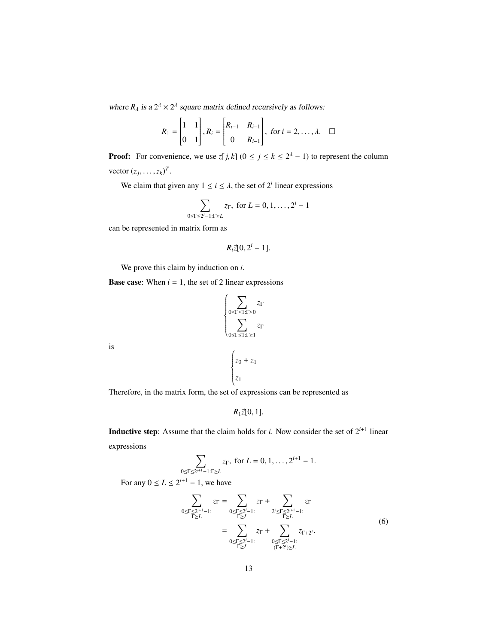where  $R_{\lambda}$  is a  $2^{\lambda} \times 2^{\lambda}$  square matrix defined recursively as follows:

$$
R_1 = \begin{bmatrix} 1 & 1 \\ 0 & 1 \end{bmatrix}, R_i = \begin{bmatrix} R_{i-1} & R_{i-1} \\ 0 & R_{i-1} \end{bmatrix}, \text{ for } i = 2, \dots, \lambda. \quad \square
$$

**Proof:** For convenience, we use  $\bar{z}[j,k]$  ( $0 \le j \le k \le 2^{\lambda} - 1$ ) to represent the column vector  $(z_j, \ldots, z_k)^T$ .

We claim that given any  $1 \le i \le \lambda$ , the set of  $2^i$  linear expressions

$$
\sum_{0 \le \Gamma \le 2^i-1: \Gamma \ge L} z_{\Gamma}, \text{ for } L = 0, 1, \dots, 2^i-1
$$

can be represented in matrix form as

is

$$
R_i \vec{z}[0, 2^i-1].
$$

We prove this claim by induction on *i*.

**Base case:** When  $i = 1$ , the set of 2 linear expressions

$$
\begin{cases}\n\sum_{0 \leq \Gamma \leq 1: \Gamma \geq 0} z_{\Gamma} \\
\sum_{0 \leq \Gamma \leq 1: \Gamma \geq 1} z_{\Gamma} \\
z_{0} + z_{1} \\
z_{1}\n\end{cases}
$$

Therefore, in the matrix form, the set of expressions can be represented as

 $R_1 \bar{z}[0, 1].$ 

**Inductive step**: Assume that the claim holds for *i*. Now consider the set of  $2^{i+1}$  linear expressions

$$
\sum_{0 \le \Gamma \le 2^{i+1}-1:\Gamma \ge L} z_{\Gamma}, \text{ for } L = 0, 1, \ldots, 2^{i+1}-1.
$$

For any  $0 \le L \le 2^{i+1} - 1$ , we have

$$
\sum_{0 \leq \Gamma \leq 2^{i+1}-1} z_{\Gamma} = \sum_{0 \leq \Gamma \leq 2^{i}-1} z_{\Gamma} + \sum_{2^{i} \leq \Gamma \leq 2^{i+1}-1} z_{\Gamma} \n= \sum_{0 \leq \Gamma \leq 2^{i}-1} z_{\Gamma} + \sum_{0 \leq \Gamma \leq 2^{i}-1} z_{\Gamma+2^{i}} \n= \sum_{\Gamma \geq L} z_{\Gamma} + \sum_{\substack{0 \leq \Gamma \leq 2^{i}-1; \\ (\Gamma+2^{i}) \geq L}} z_{\Gamma+2^{i}}.
$$
\n(6)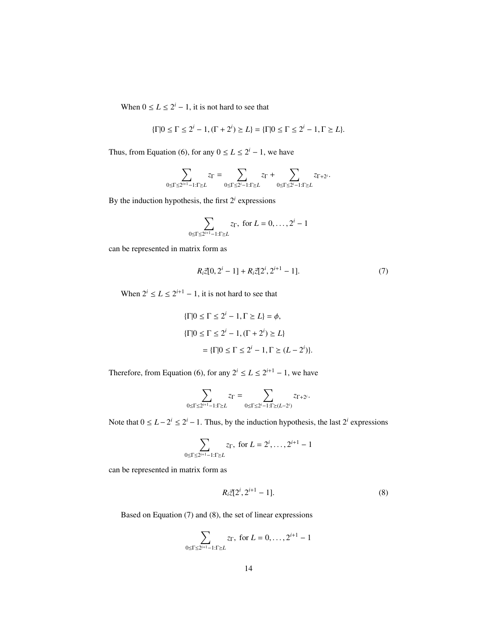When  $0 \le L \le 2^i - 1$ , it is not hard to see that

$$
\{\Gamma | 0 \le \Gamma \le 2^i - 1, (\Gamma + 2^i) \ge L\} = \{\Gamma | 0 \le \Gamma \le 2^i - 1, \Gamma \ge L\}.
$$

Thus, from Equation (6), for any  $0 \le L \le 2^i - 1$ , we have

$$
\sum_{0\leq \Gamma\leq 2^{i+1}-1:\Gamma\geq L}z_\Gamma=\sum_{0\leq \Gamma\leq 2^i-1:\Gamma\geq L}z_\Gamma+\sum_{0\leq \Gamma\leq 2^i-1:\Gamma\geq L}z_{\Gamma+2^i}.
$$

By the induction hypothesis, the first  $2<sup>i</sup>$  expressions

$$
\sum_{0 \le \Gamma \le 2^{i+1}-1: \Gamma \ge L} z_{\Gamma}, \text{ for } L = 0, \dots, 2^i - 1
$$

can be represented in matrix form as

$$
R_i \vec{z}[0, 2^i - 1] + R_i \vec{z}[2^i, 2^{i+1} - 1]. \tag{7}
$$

When  $2^{i} \le L \le 2^{i+1} - 1$ , it is not hard to see that

$$
\{\Gamma | 0 \le \Gamma \le 2^i - 1, \Gamma \ge L\} = \phi,
$$
  

$$
\{\Gamma | 0 \le \Gamma \le 2^i - 1, (\Gamma + 2^i) \ge L\}
$$
  

$$
= \{\Gamma | 0 \le \Gamma \le 2^i - 1, \Gamma \ge (L - 2^i)\}.
$$

Therefore, from Equation (6), for any  $2^{i} \le L \le 2^{i+1} - 1$ , we have

$$
\sum_{0\leq \Gamma \leq 2^{i+1}-1: \Gamma \succeq L} z_\Gamma = \sum_{0\leq \Gamma \leq 2^i-1: \Gamma \succeq (L-2^i)} z_{\Gamma+2^i}.
$$

Note that  $0 \le L - 2^i \le 2^i - 1$ . Thus, by the induction hypothesis, the last  $2^i$  expressions

$$
\sum_{0 \le \Gamma \le 2^{i+1}-1: \Gamma \ge L} z_{\Gamma}, \text{ for } L = 2^i, \dots, 2^{i+1}-1
$$

can be represented in matrix form as

$$
R_i \vec{z} [2^i, 2^{i+1} - 1]. \tag{8}
$$

Based on Equation (7) and (8), the set of linear expressions

$$
\sum_{0 \le \Gamma \le 2^{i+1}-1: \Gamma \ge L} z_{\Gamma}, \text{ for } L = 0, \dots, 2^{i+1}-1
$$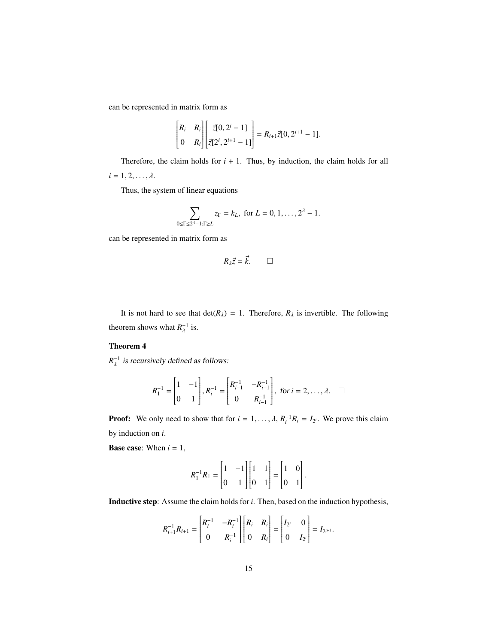can be represented in matrix form as

$$
\begin{bmatrix} R_i & R_i \\ 0 & R_i \end{bmatrix} \begin{bmatrix} \vec{z}[0, 2^i - 1] \\ \vec{z}[2^i, 2^{i+1} - 1] \end{bmatrix} = R_{i+1} \vec{z}[0, 2^{i+1} - 1].
$$

Therefore, the claim holds for  $i + 1$ . Thus, by induction, the claim holds for all  $i = 1, 2, \ldots, \lambda$ .

Thus, the system of linear equations

$$
\sum_{0 \leq \Gamma \leq 2^{\lambda}-1:\Gamma \geq L} z_{\Gamma} = k_L, \text{ for } L = 0, 1, \dots, 2^{\lambda} - 1.
$$

can be represented in matrix form as

$$
R_{\lambda}\vec{z}=\vec{k}.\qquad \Box
$$

It is not hard to see that  $det(R_\lambda) = 1$ . Therefore,  $R_\lambda$  is invertible. The following theorem shows what  $R_{\lambda}^{-1}$  $_{\lambda}^{-1}$  is.

# Theorem 4

 $R_{\lambda}^{-1}$  is recursively defined as follows:

$$
R_1^{-1} = \begin{bmatrix} 1 & -1 \\ 0 & 1 \end{bmatrix}, R_i^{-1} = \begin{bmatrix} R_{i-1}^{-1} & -R_{i-1}^{-1} \\ 0 & R_{i-1}^{-1} \end{bmatrix}, \text{ for } i = 2, ..., \lambda. \quad \square
$$

**Proof:** We only need to show that for  $i = 1, ..., \lambda$ ,  $R_i^{-1}R_i = I_{2^i}$ . We prove this claim by induction on *i*.

**Base case:** When  $i = 1$ ,

$$
R_1^{-1}R_1 = \begin{bmatrix} 1 & -1 \\ 0 & 1 \end{bmatrix} \begin{bmatrix} 1 & 1 \\ 0 & 1 \end{bmatrix} = \begin{bmatrix} 1 & 0 \\ 0 & 1 \end{bmatrix}.
$$

Inductive step: Assume the claim holds for *i*. Then, based on the induction hypothesis,

$$
R_{i+1}^{-1}R_{i+1} = \begin{bmatrix} R_i^{-1} & -R_i^{-1} \\ 0 & R_i^{-1} \end{bmatrix} \begin{bmatrix} R_i & R_i \\ 0 & R_i \end{bmatrix} = \begin{bmatrix} I_{2^i} & 0 \\ 0 & I_{2^i} \end{bmatrix} = I_{2^{i+1}}.
$$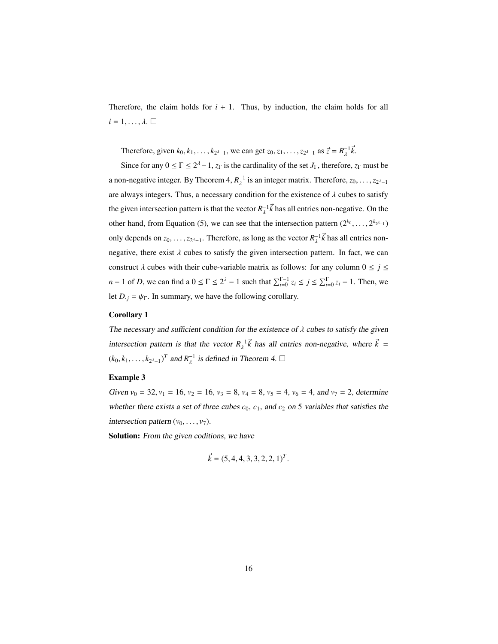Therefore, the claim holds for  $i + 1$ . Thus, by induction, the claim holds for all  $i = 1, \ldots, \lambda$ .  $\Box$ 

Therefore, given  $k_0, k_1, ..., k_{2^{\lambda-1}}$ , we can get  $z_0, z_1, ..., z_{2^{\lambda-1}}$  as  $\vec{z} = R_{\lambda}^{-1}$  $\overline{\lambda}^{1}$ *k*.

Since for any  $0 \le \Gamma \le 2^{\lambda} - 1$ ,  $z_{\Gamma}$  is the cardinality of the set  $J_{\Gamma}$ , therefore,  $z_{\Gamma}$  must be a non-negative integer. By Theorem 4,  $R_{\lambda}^{-1}$  is an integer matrix. Therefore,  $z_0, \ldots, z_{2^{\lambda-1}}$ are always integers. Thus, a necessary condition for the existence of  $\lambda$  cubes to satisfy the given intersection pattern is that the vector  $R_{\lambda}^{-1} \vec{k}$  has all entries non-negative. On the other hand, from Equation (5), we can see that the intersection pattern  $(2^{k_0}, \ldots, 2^{k_{2^{k-1}}})$ only depends on  $z_0, \ldots, z_{2^{\lambda-1}}$ . Therefore, as long as the vector  $R_{\lambda}^{-1} \vec{k}$  has all entries nonnegative, there exist  $\lambda$  cubes to satisfy the given intersection pattern. In fact, we can construct  $\lambda$  cubes with their cube-variable matrix as follows: for any column  $0 \le j \le$ *n* − 1 of *D*, we can find a  $0 \le \Gamma \le 2^{\lambda}$  − 1 such that  $\sum_{i=0}^{\Gamma-1} z_i \le j \le \sum_{i=0}^{\Gamma} z_i$  − 1. Then, we let  $D_{\cdot j} = \psi_{\Gamma}$ . In summary, we have the following corollary.

### Corollary 1

The necessary and sufficient condition for the existence of  $\lambda$  cubes to satisfy the given intersection pattern is that the vector  $R_{\lambda}^{-1} \vec{k}$  has all entries non-negative, where  $\vec{k} =$  $(k_0, k_1, \ldots, k_{2^{\lambda-1}})^T$  and  $R_{\lambda}^{-1}$  is defined in T  $_{\lambda}^{-1}$  is defined in Theorem 4.  $\square$ 

# Example 3

Given  $v_0 = 32$ ,  $v_1 = 16$ ,  $v_2 = 16$ ,  $v_3 = 8$ ,  $v_4 = 8$ ,  $v_5 = 4$ ,  $v_6 = 4$ , and  $v_7 = 2$ , determine whether there exists a set of three cubes  $c_0$ ,  $c_1$ , and  $c_2$  on 5 variables that satisfies the intersection pattern  $(v_0, \ldots, v_7)$ .

Solution: From the given coditions, we have

$$
\vec{k} = (5, 4, 4, 3, 3, 2, 2, 1)^T.
$$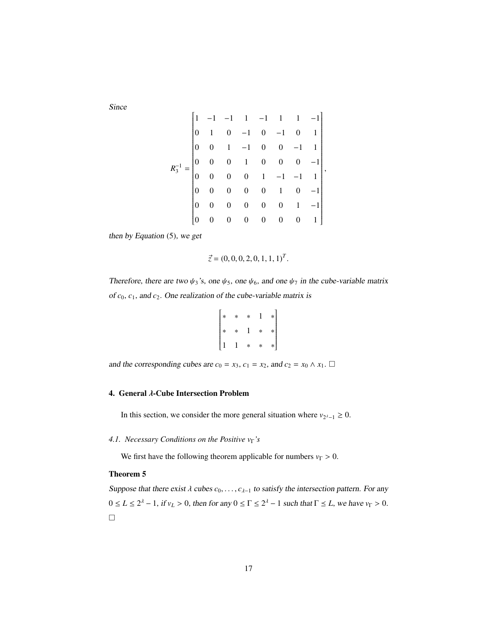Since

$$
R_3^{-1} = \begin{bmatrix} 1 & -1 & -1 & 1 & -1 & 1 & -1 \\ 0 & 1 & 0 & -1 & 0 & -1 & 0 & 1 \\ 0 & 0 & 1 & -1 & 0 & 0 & -1 & 1 \\ 0 & 0 & 0 & 1 & 0 & 0 & 0 & -1 \\ 0 & 0 & 0 & 0 & 1 & -1 & -1 & 1 \\ 0 & 0 & 0 & 0 & 0 & 1 & 0 & -1 \\ 0 & 0 & 0 & 0 & 0 & 0 & 1 & -1 \\ 0 & 0 & 0 & 0 & 0 & 0 & 0 & 1 \end{bmatrix},
$$

then by Equation (5), we get

$$
\vec{z} = (0, 0, 0, 2, 0, 1, 1, 1)^T.
$$

Therefore, there are two  $\psi_3$ 's, one  $\psi_5$ , one  $\psi_6$ , and one  $\psi_7$  in the cube-variable matrix of  $c_0$ ,  $c_1$ , and  $c_2$ . One realization of the cube-variable matrix is

$$
\begin{bmatrix} * & * & * & 1 & * \\ * & * & 1 & * & * \\ 1 & 1 & * & * & * \end{bmatrix}
$$

and the corresponding cubes are  $c_0 = x_3$ ,  $c_1 = x_2$ , and  $c_2 = x_0 \wedge x_1$ .  $\Box$ 

 $\mathbf{r}$ 

# 4. General λ-Cube Intersection Problem

In this section, we consider the more general situation where  $v_{2^{\lambda}-1} \geq 0$ .

# *4.1. Necessary Conditions on the Positive v*<sub>Γ</sub>'s

We first have the following theorem applicable for numbers  $v_\Gamma > 0$ .

# Theorem 5

Suppose that there exist  $\lambda$  cubes  $c_0, \ldots, c_{\lambda-1}$  to satisfy the intersection pattern. For any  $0 \le L \le 2^{\lambda} - 1$ , if  $v_L > 0$ , then for any  $0 \le \Gamma \le 2^{\lambda} - 1$  such that  $\Gamma \le L$ , we have  $v_{\Gamma} > 0$ .  $\Box$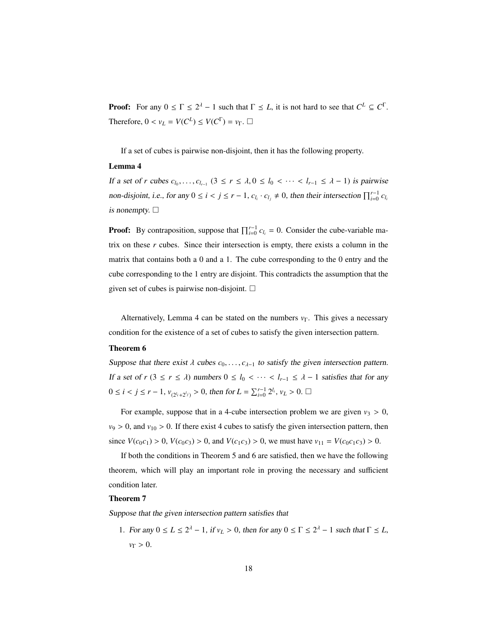**Proof:** For any  $0 \leq \Gamma \leq 2^{\lambda} - 1$  such that  $\Gamma \leq L$ , it is not hard to see that  $C^L \subseteq C^{\Gamma}$ . Therefore,  $0 < v_L = V(C^L) \le V(C^{\Gamma}) = v_{\Gamma}$ .  $\Box$ 

If a set of cubes is pairwise non-disjoint, then it has the following property.

# Lemma 4

If a set of *r* cubes  $c_{l_0}, \ldots, c_{l_{r-1}}$  ( $3 \le r \le \lambda, 0 \le l_0 < \cdots < l_{r-1} \le \lambda - 1$ ) is pairwise non-disjoint, i.e., for any  $0 \le i < j \le r - 1$ ,  $c_{l_i} \cdot c_{l_j} \ne 0$ , then their intersection  $\prod_{i=0}^{r-1} c_{l_i}$ is nonempty.  $\Box$ 

**Proof:** By contraposition, suppose that  $\prod_{i=0}^{r-1} c_{l_i} = 0$ . Consider the cube-variable matrix on these *r* cubes. Since their intersection is empty, there exists a column in the matrix that contains both a 0 and a 1. The cube corresponding to the 0 entry and the cube corresponding to the 1 entry are disjoint. This contradicts the assumption that the given set of cubes is pairwise non-disjoint.  $\square$ 

Alternatively, Lemma 4 can be stated on the numbers  $v_\Gamma$ . This gives a necessary condition for the existence of a set of cubes to satisfy the given intersection pattern.

# Theorem 6

Suppose that there exist  $\lambda$  cubes  $c_0, \ldots, c_{\lambda-1}$  to satisfy the given intersection pattern. If a set of  $r$  ( $3 \le r \le \lambda$ ) numbers  $0 \le l_0 < \cdots < l_{r-1} \le \lambda - 1$  satisfies that for any 0 ≤ *i* < *j* ≤ *r* − 1,  $v_{(2^{l_i}+2^{l_j})}$  > 0, then for  $L = \sum_{i=0}^{r-1} 2^{l_i}$ ,  $v_L > 0$ . □

For example, suppose that in a 4-cube intersection problem we are given  $v_3 > 0$ ,  $v_9 > 0$ , and  $v_{10} > 0$ . If there exist 4 cubes to satisfy the given intersection pattern, then since  $V(c_0c_1) > 0$ ,  $V(c_0c_3) > 0$ , and  $V(c_1c_3) > 0$ , we must have  $v_{11} = V(c_0c_1c_3) > 0$ .

If both the conditions in Theorem 5 and 6 are satisfied, then we have the following theorem, which will play an important role in proving the necessary and sufficient condition later.

### Theorem 7

Suppose that the given intersection pattern satisfies that

1. For any  $0 \le L \le 2^{\lambda} - 1$ , if  $v_L > 0$ , then for any  $0 \le \Gamma \le 2^{\lambda} - 1$  such that  $\Gamma \le L$ , *<sup>v</sup>*<sup>Γ</sup> <sup>&</sup>gt; <sup>0</sup>.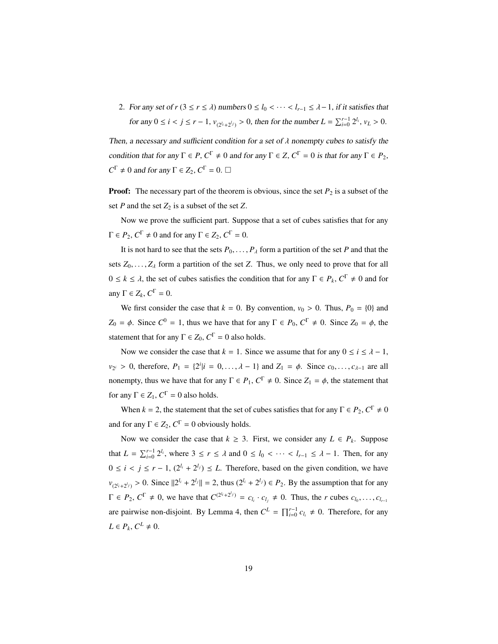2. For any set of  $r$  ( $3 \le r \le \lambda$ ) numbers  $0 \le l_0 < \cdots < l_{r-1} \le \lambda - 1$ , if it satisfies that for any  $0 \le i < j \le r - 1$ ,  $v_{(2^{l_i} + 2^{l_j})} > 0$ , then for the number  $L = \sum_{i=0}^{r-1} 2^{l_i}$ ,  $v_L > 0$ .

Then, a necessary and sufficient condition for a set of  $\lambda$  nonempty cubes to satisfy the condition that for any  $\Gamma \in P$ ,  $C^{\Gamma} \neq 0$  and for any  $\Gamma \in Z$ ,  $C^{\Gamma} = 0$  is that for any  $\Gamma \in P_2$ ,  $C^{\Gamma} \neq 0$  and for any  $\Gamma \in Z_2$ ,  $C^{\Gamma} = 0$ .  $\Box$ 

**Proof:** The necessary part of the theorem is obvious, since the set  $P_2$  is a subset of the set *P* and the set  $Z_2$  is a subset of the set *Z*.

Now we prove the sufficient part. Suppose that a set of cubes satisfies that for any  $\Gamma \in P_2, C^{\Gamma} \neq 0$  and for any  $\Gamma \in Z_2, C^{\Gamma} = 0$ .

It is not hard to see that the sets  $P_0, \ldots, P_\lambda$  form a partition of the set *P* and that the sets  $Z_0, \ldots, Z_\lambda$  form a partition of the set *Z*. Thus, we only need to prove that for all  $0 \le k \le \lambda$ , the set of cubes satisfies the condition that for any Γ ∈  $P_k$ ,  $C^{\Gamma} \ne 0$  and for any  $\Gamma \in Z_k$ ,  $C^{\Gamma} = 0$ .

We first consider the case that  $k = 0$ . By convention,  $v_0 > 0$ . Thus,  $P_0 = \{0\}$  and  $Z_0 = \phi$ . Since  $C^0 = 1$ , thus we have that for any  $\Gamma \in P_0$ ,  $C^{\Gamma} \neq 0$ . Since  $Z_0 = \phi$ , the statement that for any  $\Gamma \in Z_0$ ,  $C^{\Gamma} = 0$  also holds.

Now we consider the case that  $k = 1$ . Since we assume that for any  $0 \le i \le \lambda - 1$ ,  $v_{2}$  > 0, therefore,  $P_1 = \{2^i | i = 0, ..., \lambda - 1\}$  and  $Z_1 = \phi$ . Since  $c_0, ..., c_{\lambda-1}$  are all nonempty, thus we have that for any  $\Gamma \in P_1$ ,  $C^{\Gamma} \neq 0$ . Since  $Z_1 = \phi$ , the statement that for any  $\Gamma \in Z_1$ ,  $C^{\Gamma} = 0$  also holds.

When  $k = 2$ , the statement that the set of cubes satisfies that for any  $\Gamma \in P_2, C^{\Gamma} \neq 0$ and for any  $\Gamma \in Z_2$ ,  $C^{\Gamma} = 0$  obviously holds.

Now we consider the case that  $k \geq 3$ . First, we consider any  $L \in P_k$ . Suppose that  $L = \sum_{i=0}^{r-1} 2^{l_i}$ , where  $3 \le r \le \lambda$  and  $0 \le l_0 < \cdots < l_{r-1} \le \lambda - 1$ . Then, for any  $0 \le i < j \le r - 1$ ,  $(2^{l_i} + 2^{l_j}) \le L$ . Therefore, based on the given condition, we have  $v_{(2^{l_i}+2^{l_j})} > 0$ . Since  $||2^{l_i} + 2^{l_j}|| = 2$ , thus  $(2^{l_i} + 2^{l_j}) \in P_2$ . By the assumption that for any  $\Gamma \in P_2$ ,  $C^{\Gamma} \neq 0$ , we have that  $C^{(2i+2^{l_j})} = c_{l_i} \cdot c_{l_j} \neq 0$ . Thus, the *r* cubes  $c_{l_0}, \ldots, c_{l_{r-1}}$ are pairwise non-disjoint. By Lemma 4, then  $C^L = \prod_{i=0}^{r-1} c_{l_i} \neq 0$ . Therefore, for any  $L \in P_k$ ,  $C^L \neq 0$ .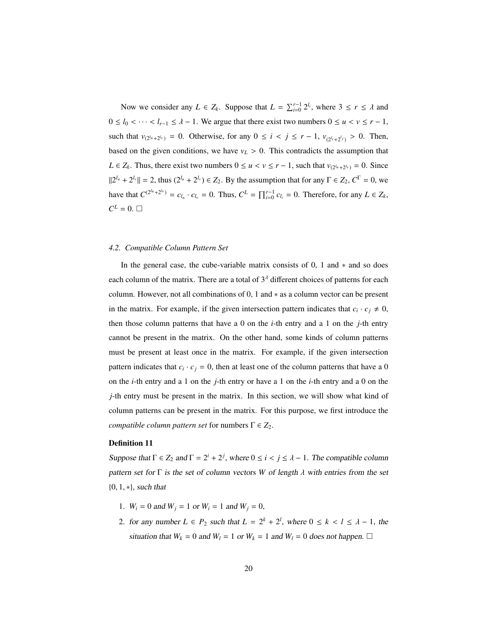Now we consider any  $L \in Z_k$ . Suppose that  $L = \sum_{i=0}^{r-1} 2^{l_i}$ , where  $3 \le r \le \lambda$  and  $0 \le l_0 < \cdots < l_{r-1} \le \lambda - 1$ . We argue that there exist two numbers  $0 \le u < v \le r - 1$ , such that  $v_{(2^{l_u}+2^{l_v})} = 0$ . Otherwise, for any  $0 \le i \le j \le r-1$ ,  $v_{(2^{l_i}+2^{l_j})} > 0$ . Then, based on the given conditions, we have  $v_L > 0$ . This contradicts the assumption that *L* ∈ *Z*<sup>*k*</sup>. Thus, there exist two numbers  $0 \le u < v \le r - 1$ , such that  $v_{(2^{l_u} + 2^{l_v})} = 0$ . Since  $||2^{l_u} + 2^{l_v}|| = 2$ , thus  $(2^{l_u} + 2^{l_v}) \in Z_2$ . By the assumption that for any  $\Gamma \in Z_2$ ,  $C^{\Gamma} = 0$ , we have that  $C^{(2^{l_u} + 2^{l_v})} = c_{l_u} \cdot c_{l_v} = 0$ . Thus,  $C^L = \prod_{i=0}^{r-1} c_{l_i} = 0$ . Therefore, for any  $L \in Z_k$ ,  $C^L = 0.$ 

#### *4.2. Compatible Column Pattern Set*

In the general case, the cube-variable matrix consists of 0, 1 and ∗ and so does each column of the matrix. There are a total of  $3<sup>\lambda</sup>$  different choices of patterns for each column. However, not all combinations of 0, 1 and ∗ as a column vector can be present in the matrix. For example, if the given intersection pattern indicates that  $c_i \cdot c_j \neq 0$ , then those column patterns that have a 0 on the *i*-th entry and a 1 on the *j*-th entry cannot be present in the matrix. On the other hand, some kinds of column patterns must be present at least once in the matrix. For example, if the given intersection pattern indicates that  $c_i \cdot c_j = 0$ , then at least one of the column patterns that have a 0 on the *i*-th entry and a 1 on the *j*-th entry or have a 1 on the *i*-th entry and a 0 on the *j*-th entry must be present in the matrix. In this section, we will show what kind of column patterns can be present in the matrix. For this purpose, we first introduce the *compatible column pattern set* for numbers  $\Gamma \in Z_2$ .

#### Definition 11

Suppose that  $\Gamma \in Z_2$  and  $\Gamma = 2^i + 2^j$ , where  $0 \le i < j \le \lambda - 1$ . The compatible column pattern set for  $\Gamma$  is the set of column vectors W of length  $\lambda$  with entries from the set {0, <sup>1</sup>, ∗}, such that

- 1.  $W_i = 0$  and  $W_j = 1$  or  $W_i = 1$  and  $W_j = 0$ ,
- 2. for any number  $L \in P_2$  such that  $L = 2^k + 2^l$ , where  $0 \le k < l \le \lambda 1$ , the situation that  $W_k = 0$  and  $W_l = 1$  or  $W_k = 1$  and  $W_l = 0$  does not happen.  $\Box$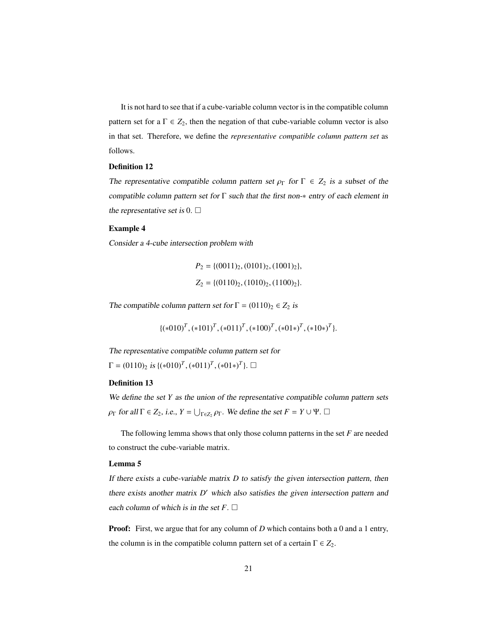It is not hard to see that if a cube-variable column vector is in the compatible column pattern set for a  $\Gamma \in Z_2$ , then the negation of that cube-variable column vector is also in that set. Therefore, we define the *representative compatible column pattern set* as follows.

#### Definition 12

The representative compatible column pattern set  $\rho_{\Gamma}$  for  $\Gamma \in Z_2$  is a subset of the compatible column pattern set for Γ such that the first non-∗ entry of each element in the representative set is 0.  $\Box$ 

# Example 4

Consider a 4-cube intersection problem with

$$
P_2 = \{(0011)_2, (0101)_2, (1001)_2\},
$$
  
\n
$$
Z_2 = \{(0110)_2, (1010)_2, (1100)_2\}.
$$

The compatible column pattern set for  $\Gamma = (0110)_2 \in Z_2$  is

$$
\{(*010)^T, (*101)^T, (*011)^T, (*100)^T, (*01*)^T, (*10*)^T\}.
$$

The representative compatible column pattern set for  $\Gamma = (0110)_2 \text{ is } \{(*010)^T, (*011)^T, (*01*)^T\}. \Box$ 

# Definition 13

We define the set *Y* as the union of the representative compatible column pattern sets  $\rho_{\Gamma}$  for all  $\Gamma \in Z_2$ , i.e.,  $Y = \bigcup_{\Gamma \in Z_2} \rho_{\Gamma}$ . We define the set  $F = Y \cup \Psi$ .

The following lemma shows that only those column patterns in the set *F* are needed to construct the cube-variable matrix.

#### Lemma 5

If there exists a cube-variable matrix *D* to satisfy the given intersection pattern, then there exists another matrix *D'* which also satisfies the given intersection pattern and each column of which is in the set  $F$ .  $\Box$ 

Proof: First, we argue that for any column of *D* which contains both a 0 and a 1 entry, the column is in the compatible column pattern set of a certain  $\Gamma \in Z_2$ .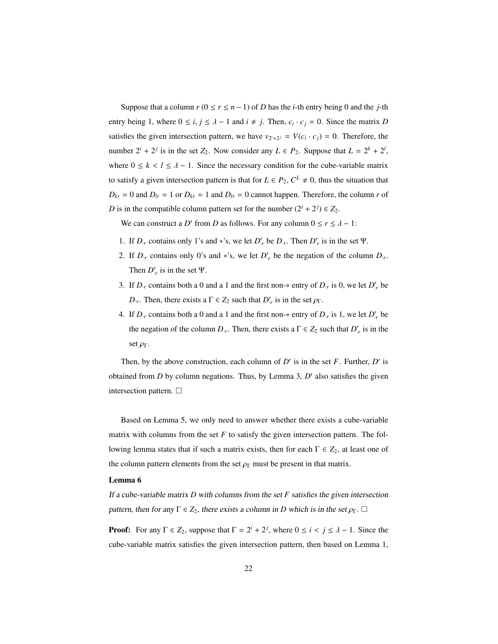Suppose that a column  $r$  ( $0 \le r \le n - 1$ ) of *D* has the *i*-th entry being 0 and the *j*-th entry being 1, where  $0 \le i, j \le \lambda - 1$  and  $i \ne j$ . Then,  $c_i \cdot c_j = 0$ . Since the matrix *D* satisfies the given intersection pattern, we have  $v_{2^i+2^j} = V(c_i \cdot c_j) = 0$ . Therefore, the number  $2^{i} + 2^{j}$  is in the set  $Z_2$ . Now consider any  $L \in P_2$ . Suppose that  $L = 2^{k} + 2^{l}$ , where  $0 \le k < l \le \lambda - 1$ . Since the necessary condition for the cube-variable matrix to satisfy a given intersection pattern is that for  $L \in P_2$ ,  $C^L \neq 0$ , thus the situation that  $D_{kr} = 0$  and  $D_{lr} = 1$  or  $D_{kr} = 1$  and  $D_{lr} = 0$  cannot happen. Therefore, the column *r* of *D* is in the compatible column pattern set for the number  $(2^{i} + 2^{j}) \in Z_2$ .

We can construct a *D'* from *D* as follows. For any column  $0 \le r \le \lambda - 1$ :

- 1. If  $D_r$  contains only 1's and \*'s, we let  $D'_r$  be  $D_r$ . Then  $D'_r$  is in the set  $\Psi$ .
- 2. If  $D_r$  contains only 0's and \*'s, we let  $D'_r$  be the negation of the column  $D_r$ . Then  $D'_r$  is in the set  $\Psi$ .
- 3. If  $D_r$  contains both a 0 and a 1 and the first non- $*$  entry of  $D_r$  is 0, we let  $D'_r$  be *D*<sub>*r*</sub>. Then, there exists a  $\Gamma \in Z_2$  such that *D'<sub>r</sub>* is in the set  $\rho_{\Gamma}$ .
- 4. If  $D_r$  contains both a 0 and a 1 and the first non- $*$  entry of  $D_r$  is 1, we let  $D'_r$  be the negation of the column  $D_r$ . Then, there exists a  $\Gamma \in Z_2$  such that  $D'_r$  is in the set  $\rho_{\Gamma}$ .

Then, by the above construction, each column of  $D'$  is in the set *F*. Further,  $D'$  is obtained from  $D$  by column negations. Thus, by Lemma 3,  $D'$  also satisfies the given intersection pattern.

Based on Lemma 5, we only need to answer whether there exists a cube-variable matrix with columns from the set  $F$  to satisfy the given intersection pattern. The following lemma states that if such a matrix exists, then for each  $Γ ∈ Z_2$ , at least one of the column pattern elements from the set  $\rho_{\Gamma}$  must be present in that matrix.

#### Lemma 6

If a cube-variable matrix *D* with columns from the set *F* satisfies the given intersection pattern, then for any  $\Gamma \in Z_2$ , there exists a column in *D* which is in the set  $\rho_{\Gamma}$ .  $\Box$ 

**Proof:** For any  $\Gamma \in Z_2$ , suppose that  $\Gamma = 2^i + 2^j$ , where  $0 \le i \le j \le \lambda - 1$ . Since the cube-variable matrix satisfies the given intersection pattern, then based on Lemma 1,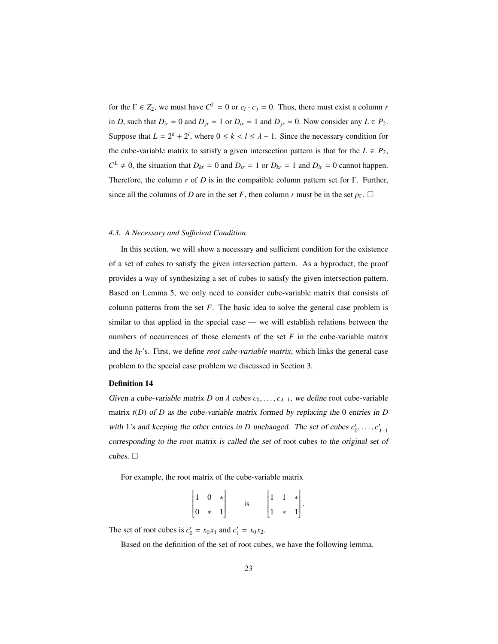for the  $\Gamma \in Z_2$ , we must have  $C^{\Gamma} = 0$  or  $c_i \cdot c_j = 0$ . Thus, there must exist a column *r* in *D*, such that  $D_{ir} = 0$  and  $D_{jr} = 1$  or  $D_{ir} = 1$  and  $D_{jr} = 0$ . Now consider any  $L \in P_2$ . Suppose that  $L = 2^k + 2^l$ , where  $0 \le k < l \le \lambda - 1$ . Since the necessary condition for the cube-variable matrix to satisfy a given intersection pattern is that for the  $L \in P_2$ ,  $C^L \neq 0$ , the situation that  $D_{kr} = 0$  and  $D_{lr} = 1$  or  $D_{kr} = 1$  and  $D_{lr} = 0$  cannot happen. Therefore, the column *r* of *D* is in the compatible column pattern set for Γ. Further, since all the columns of *D* are in the set *F*, then column *r* must be in the set  $\rho_{\Gamma}$ .  $\Box$ 

# *4.3. A Necessary and Su*ffi*cient Condition*

In this section, we will show a necessary and sufficient condition for the existence of a set of cubes to satisfy the given intersection pattern. As a byproduct, the proof provides a way of synthesizing a set of cubes to satisfy the given intersection pattern. Based on Lemma 5, we only need to consider cube-variable matrix that consists of column patterns from the set *F*. The basic idea to solve the general case problem is similar to that applied in the special case — we will establish relations between the numbers of occurrences of those elements of the set  $F$  in the cube-variable matrix and the *k*Γ's. First, we define *root cube-variable matrix*, which links the general case problem to the special case problem we discussed in Section 3.

### Definition 14

Given a cube-variable matrix *D* on  $\lambda$  cubes  $c_0, \ldots, c_{\lambda-1}$ , we define root cube-variable matrix  $t(D)$  of *D* as the cube-variable matrix formed by replacing the 0 entries in *D* with 1's and keeping the other entries in *D* unchanged. The set of cubes  $c'_0, \ldots, c'_{\lambda-1}$ corresponding to the root matrix is called the set of root cubes to the original set of cubes.  $\square$ 

For example, the root matrix of the cube-variable matrix

|                                                        |  | $\frac{1}{1}$ | $\begin{bmatrix} 1 & 1 & * \\ 1 & * & 1 \end{bmatrix}$ . |  |
|--------------------------------------------------------|--|---------------|----------------------------------------------------------|--|
| $\begin{bmatrix} 1 & 0 & * \\ 0 & * & 1 \end{bmatrix}$ |  |               |                                                          |  |

The set of root cubes is  $c'_0 = x_0 x_1$  and  $c'_1 = x_0 x_2$ .

Based on the definition of the set of root cubes, we have the following lemma.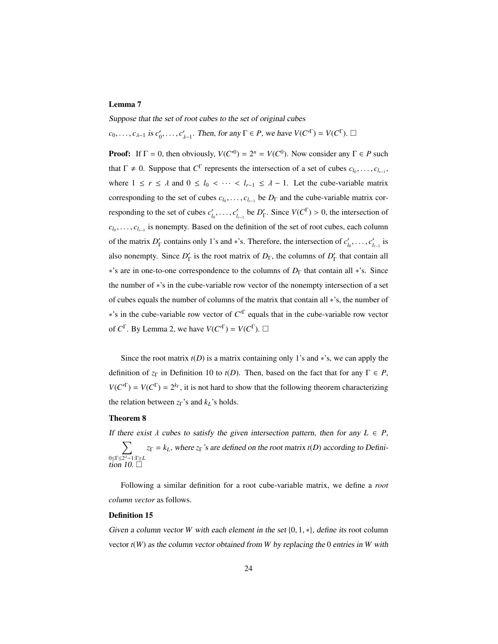# Lemma 7

Suppose that the set of root cubes to the set of original cubes  $c_0, \ldots, c_{\lambda-1}$  is  $c'_0, \ldots, c'_{\lambda-1}$ . Then, for any  $\Gamma \in P$ , we have  $V(C'^{\Gamma}) = V(C^{\Gamma})$ .  $\Box$ 

**Proof:** If  $\Gamma = 0$ , then obviously,  $V(C^{0}) = 2^{n} = V(C^{0})$ . Now consider any  $\Gamma \in P$  such that  $\Gamma \neq 0$ . Suppose that  $C^{\Gamma}$  represents the intersection of a set of cubes  $c_{l_0}, \ldots, c_{l_{r-1}},$ where  $1 \le r \le \lambda$  and  $0 \le l_0 < \cdots < l_{r-1} \le \lambda - 1$ . Let the cube-variable matrix corresponding to the set of cubes  $c_{l_0}, \ldots, c_{l_{r-1}}$  be  $D_{\Gamma}$  and the cube-variable matrix corresponding to the set of cubes  $c'_{l_0}, \ldots, c'_{l_{r-1}}$  be  $D'_{\Gamma}$ . Since  $V(C^{\Gamma}) > 0$ , the intersection of  $c_{l_0}, \ldots, c_{l_{r-1}}$  is nonempty. Based on the definition of the set of root cubes, each column of the matrix  $D'_\Gamma$  contains only 1's and ∗'s. Therefore, the intersection of  $c'_{l_0}, \ldots, c'_{l_{r-1}}$  is also nonempty. Since  $D'_{\Gamma}$  is the root matrix of  $D_{\Gamma}$ , the columns of  $D'_{\Gamma}$  that contain all ∗'s are in one-to-one correspondence to the columns of *D*<sup>Γ</sup> that contain all ∗'s. Since the number of ∗'s in the cube-variable row vector of the nonempty intersection of a set of cubes equals the number of columns of the matrix that contain all ∗'s, the number of ∗'s in the cube-variable row vector of *C* 0Γ equals that in the cube-variable row vector of  $C^{\Gamma}$ . By Lemma 2, we have  $V(C'^{\Gamma}) = V(C^{\Gamma})$ .  $\Box$ 

Since the root matrix  $t(D)$  is a matrix containing only 1's and  $*$ 's, we can apply the definition of  $z_{\Gamma}$  in Definition 10 to  $t(D)$ . Then, based on the fact that for any  $\Gamma \in P$ ,  $V(C^{T}) = V(C^{T}) = 2^{k_{T}}$ , it is not hard to show that the following theorem characterizing the relation between *z*Γ's and *kL*'s holds.

### Theorem 8

If there exist  $\lambda$  cubes to satisfy the given intersection pattern, then for any  $L \in P$ , 0≤Γ≤2 <sup>λ</sup>−1:Γ*L* tion 10.  $z_{\Gamma} = k_L$ , where  $z_{\Gamma}$ 's are defined on the root matrix *t*(*D*) according to Defini-

Following a similar definition for a root cube-variable matrix, we define a *root column vector* as follows.

#### Definition 15

Given a column vector *W* with each element in the set  $\{0, 1, *\}$ , define its root column vector *t*(*W*) as the column vector obtained from *W* by replacing the 0 entries in *W* with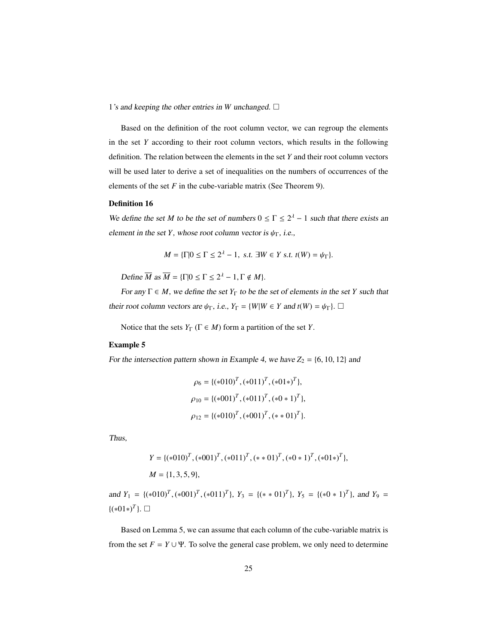1's and keeping the other entries in *W* unchanged.  $\Box$ 

Based on the definition of the root column vector, we can regroup the elements in the set *Y* according to their root column vectors, which results in the following definition. The relation between the elements in the set *Y* and their root column vectors will be used later to derive a set of inequalities on the numbers of occurrences of the elements of the set  $F$  in the cube-variable matrix (See Theorem 9).

#### Definition 16

We define the set *M* to be the set of numbers  $0 \le \Gamma \le 2^{\lambda} - 1$  such that there exists an element in the set *Y*, whose root column vector is  $\psi_{\Gamma}$ , i.e.,

$$
M = \{\Gamma | 0 \le \Gamma \le 2^{\lambda} - 1, \text{ s.t. } \exists W \in Y \text{ s.t. } t(W) = \psi_{\Gamma} \}.
$$

Define  $\overline{M}$  as  $\overline{M} = {\{\Gamma | 0 \le \Gamma \le 2^{\lambda} - 1, \Gamma \notin M \}}.$ 

For any  $\Gamma \in M$ , we define the set  $Y_{\Gamma}$  to be the set of elements in the set *Y* such that their root column vectors are  $\psi_{\Gamma}$ , i.e.,  $Y_{\Gamma} = \{W | W \in Y \text{ and } t(W) = \psi_{\Gamma}\}\)$ .

Notice that the sets  $Y_{\Gamma}$  ( $\Gamma \in M$ ) form a partition of the set *Y*.

### Example 5

For the intersection pattern shown in Example 4, we have  $Z_2 = \{6, 10, 12\}$  and

$$
\rho_6 = \{(*010)^T, (*011)^T, (*01*)^T\},\
$$

$$
\rho_{10} = \{(*001)^T, (*011)^T, (*0*1)^T\},\
$$

$$
\rho_{12} = \{(*010)^T, (*001)^T, (*01)^T\}.
$$

Thus,

$$
Y = \{(*010)^T, (*001)^T, (*011)^T, (*01)^T, (*0*1)^T, (*01*)^T\},\
$$
  

$$
M = \{1, 3, 5, 9\},\
$$

and  $Y_1 = \{(*010)^T, (*001)^T, (*011)^T\}$ ,  $Y_3 = \{(*01)^T\}$ ,  $Y_5 = \{(*0 * 1)^T\}$ , and  $Y_9 =$  ${(*01*)^T}$ . □

Based on Lemma 5, we can assume that each column of the cube-variable matrix is from the set  $F = Y \cup \Psi$ . To solve the general case problem, we only need to determine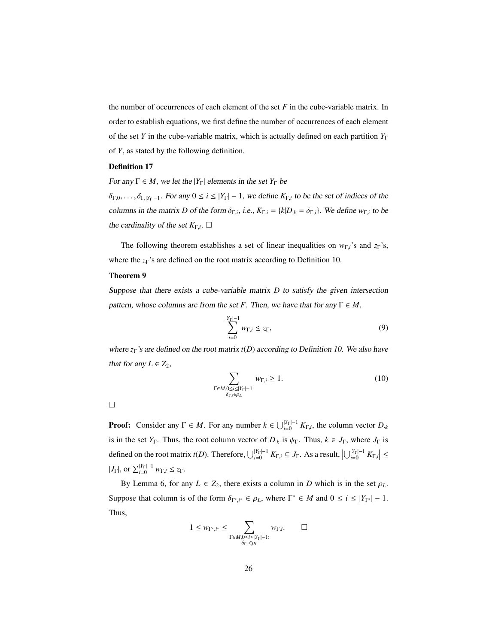the number of occurrences of each element of the set *F* in the cube-variable matrix. In order to establish equations, we first define the number of occurrences of each element of the set *Y* in the cube-variable matrix, which is actually defined on each partition *Y*<sup>Γ</sup> of *Y*, as stated by the following definition.

#### Definition 17

For any  $\Gamma \in M$ , we let the  $|Y_{\Gamma}|$  elements in the set  $Y_{\Gamma}$  be

 $\delta_{\Gamma,0}, \ldots, \delta_{\Gamma,|Y_{\Gamma}|-1}$ . For any  $0 \le i \le |Y_{\Gamma}|-1$ , we define  $K_{\Gamma,i}$  to be the set of indices of the columns in the matrix *D* of the form  $\delta_{\Gamma,i}$ , i.e.,  $K_{\Gamma,i} = \{k|D_k = \delta_{\Gamma,i}\}\$ . We define  $w_{\Gamma,i}$  to be the cardinality of the set  $K_{\Gamma,i}$ .  $\square$ 

The following theorem establishes a set of linear inequalities on *<sup>w</sup>*<sup>Γ</sup>,*<sup>i</sup>*'s and *<sup>z</sup>*Γ's, where the *z*Γ's are defined on the root matrix according to Definition 10.

#### Theorem 9

Suppose that there exists a cube-variable matrix *D* to satisfy the given intersection pattern, whose columns are from the set *F*. Then, we have that for any  $\Gamma \in M$ ,

$$
\sum_{i=0}^{|Y_{\Gamma}|-1} w_{\Gamma,i} \le z_{\Gamma},\tag{9}
$$

where *z*Γ's are defined on the root matrix *t*(*D*) according to Definition 10. We also have that for any  $L \in Z_2$ ,

$$
\sum_{\substack{\Gamma \in M, 0 \le i \le |Y_{\Gamma}| - 1:\\ \delta_{\Gamma, i} \in \rho_L}} w_{\Gamma, i} \ge 1.
$$
 (10)

**Proof:** Consider any  $\Gamma \in M$ . For any number  $k \in \bigcup_{i=0}^{|Y_{\Gamma}|-1} K_{\Gamma,i}$ , the column vector  $D_k$ is in the set *Y*<sub>Γ</sub>. Thus, the root column vector of  $D_k$  is  $\psi_\Gamma$ . Thus,  $k \in J_\Gamma$ , where  $J_\Gamma$  is defined on the root matrix *t*(*D*). Therefore,  $\bigcup_{i=0}^{|Y_{\Gamma}|-1} K_{\Gamma,i} \subseteq J_{\Gamma}$ . As a result,  $\bigcup_{i=0}^{|Y_{\Gamma}|-1} K_{\Gamma,i}\big| \leq$  $|J_{\Gamma}|$ , or  $\sum_{i=0}^{|Y_{\Gamma}|-1} w_{\Gamma,i} \leq z_{\Gamma}.$ 

By Lemma 6, for any  $L \in Z_2$ , there exists a column in *D* which is in the set  $\rho_L$ . Suppose that column is of the form  $\delta_{\Gamma^*,i^*} \in \rho_L$ , where  $\Gamma^* \in M$  and  $0 \le i \le |Y_{\Gamma^*}| - 1$ . Thus,

$$
1 \leq w_{\Gamma^*, i^*} \leq \sum_{\substack{\Gamma \in M, 0 \leq i \leq |Y_{\Gamma}| - 1: \\ \delta_{\Gamma, i} \in \rho_L}} w_{\Gamma, i}. \qquad \Box
$$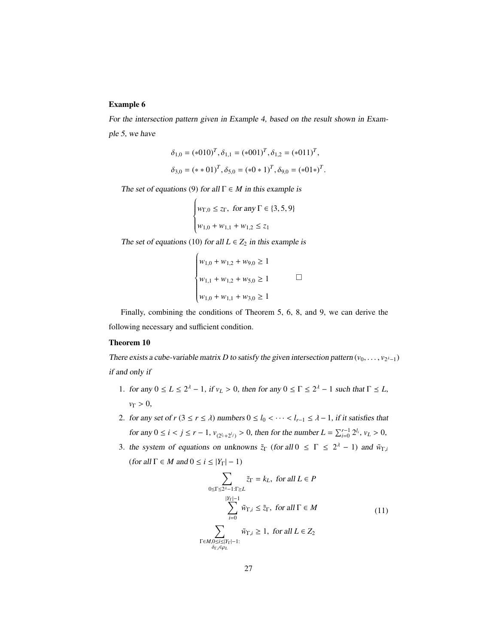# Example 6

For the intersection pattern given in Example 4, based on the result shown in Example 5, we have

$$
\delta_{1,0} = (*010)^T, \delta_{1,1} = (*001)^T, \delta_{1,2} = (*011)^T,
$$
  

$$
\delta_{3,0} = (*01)^T, \delta_{5,0} = (*0*1)^T, \delta_{9,0} = (*01*)^T.
$$

The set of equations (9) for all  $\Gamma \in M$  in this example is

 $\sqrt{ }$ 

 $\sqrt{ }$ 

$$
\begin{cases} w_{\Gamma,0} \le z_{\Gamma}, & \text{for any } \Gamma \in \{3,5,9\} \\ w_{1,0} + w_{1,1} + w_{1,2} \le z_1 \end{cases}
$$

The set of equations (10) for all  $L \in Z_2$  in this example is

$$
w_{1,0} + w_{1,2} + w_{9,0} \ge 1
$$
  

$$
w_{1,1} + w_{1,2} + w_{5,0} \ge 1
$$
  

$$
w_{1,0} + w_{1,1} + w_{3,0} \ge 1
$$

Finally, combining the conditions of Theorem 5, 6, 8, and 9, we can derive the following necessary and sufficient condition.

#### Theorem 10

There exists a cube-variable matrix *D* to satisfy the given intersection pattern ( $v_0, \ldots, v_{2^{\lambda}-1}$ ) if and only if

- 1. for any  $0 \le L \le 2^{\lambda} 1$ , if  $v_L > 0$ , then for any  $0 \le \Gamma \le 2^{\lambda} 1$  such that  $\Gamma \le L$ , *v*<sub>Γ</sub> > 0.
- 2. for any set of  $r$  ( $3 \le r \le \lambda$ ) numbers  $0 \le l_0 < \cdots < l_{r-1} \le \lambda 1$ , if it satisfies that for any  $0 \le i < j \le r - 1$ ,  $v_{(2^{l_i} + 2^{l_j})} > 0$ , then for the number  $L = \sum_{i=0}^{r-1} 2^{l_i}$ ,  $v_L > 0$ ,
- 3. the system of equations on unknowns  $\tilde{z}_\Gamma$  (for all  $0 \leq \Gamma \leq 2^{\lambda} 1$ ) and  $\tilde{w}_{\Gamma,i}$ (for all  $\Gamma \in M$  and  $0 \le i \le |Y_{\Gamma}| - 1$ )

$$
\sum_{0 \le \Gamma \le 2^{l} - 1:\Gamma \ge L} \tilde{z}_{\Gamma} = k_{L}, \text{ for all } L \in P
$$
  

$$
\sum_{|Y_{\Gamma}| = 1}^{|Y_{\Gamma}| - 1} \tilde{w}_{\Gamma, i} \le \tilde{z}_{\Gamma}, \text{ for all } \Gamma \in M
$$
  

$$
\sum_{\Gamma \in M, 0 \le i \le |Y_{\Gamma}| - 1:} \tilde{w}_{\Gamma, i} \ge 1, \text{ for all } L \in Z_{2}
$$
  

$$
\Gamma \in M, 0 \le i \le |Y_{\Gamma}| - 1: \tag{11}
$$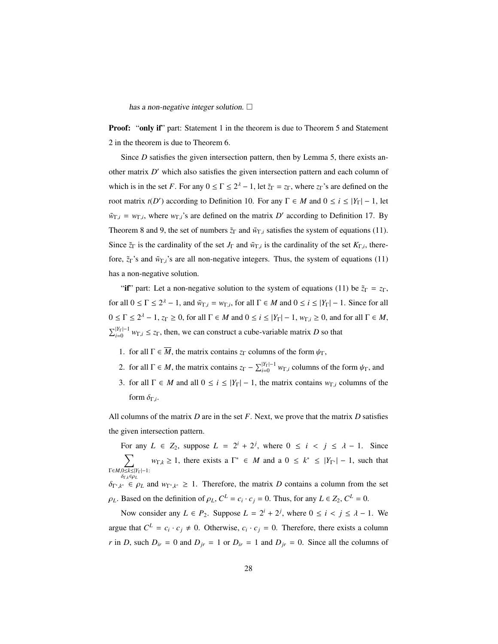has a non-negative integer solution.  $\square$ 

**Proof:** "only if" part: Statement 1 in the theorem is due to Theorem 5 and Statement 2 in the theorem is due to Theorem 6.

Since *D* satisfies the given intersection pattern, then by Lemma 5, there exists another matrix *D'* which also satisfies the given intersection pattern and each column of which is in the set *F*. For any  $0 \le \Gamma \le 2^{\lambda} - 1$ , let  $\tilde{z}_{\Gamma} = z_{\Gamma}$ , where  $z_{\Gamma}$ 's are defined on the root matrix  $t(D')$  according to Definition 10. For any  $\Gamma \in M$  and  $0 \le i \le |Y_{\Gamma}| - 1$ , let  $\tilde{w}_{\Gamma,i} = w_{\Gamma,i}$ , where  $w_{\Gamma,i}$ 's are defined on the matrix *D'* according to Definition 17. By Theorem 8 and 9, the set of numbers  $\tilde{z}_\Gamma$  and  $\tilde{w}_{\Gamma,i}$  satisfies the system of equations (11). Since  $\tilde{z}_\Gamma$  is the cardinality of the set  $J_\Gamma$  and  $\tilde{w}_{\Gamma,i}$  is the cardinality of the set  $K_{\Gamma,i}$ , therefore, ˜*z*Γ's and ˜*w*<sup>Γ</sup>,*<sup>i</sup>*'s are all non-negative integers. Thus, the system of equations (11) has a non-negative solution.

"if" part: Let a non-negative solution to the system of equations (11) be  $\tilde{z}_\Gamma = z_\Gamma$ , for all  $0 \le \Gamma \le 2^{\lambda} - 1$ , and  $\tilde{w}_{\Gamma,i} = w_{\Gamma,i}$ , for all  $\Gamma \in M$  and  $0 \le i \le |\tilde{Y}_{\Gamma}| - 1$ . Since for all  $0 \le \Gamma \le 2^{\lambda} - 1$ ,  $z_{\Gamma} \ge 0$ , for all  $\Gamma \in M$  and  $0 \le i \le |Y_{\Gamma}| - 1$ ,  $w_{\Gamma,i} \ge 0$ , and for all  $\Gamma \in M$ ,  $\sum_{i=0}^{|Y_{\Gamma}|-1} w_{\Gamma,i} \le z_{\Gamma}$ , then, we can construct a cube-variable matrix *D* so that

- 1. for all  $\Gamma \in \overline{M}$ , the matrix contains  $z_{\Gamma}$  columns of the form  $\psi_{\Gamma}$ ,
- 2. for all  $\Gamma \in M$ , the matrix contains  $z_{\Gamma} \sum_{i=0}^{|Y_{\Gamma}|-1} w_{\Gamma,i}$  columns of the form  $\psi_{\Gamma}$ , and
- 3. for all  $\Gamma \in M$  and all  $0 \le i \le |Y_{\Gamma}| 1$ , the matrix contains  $w_{\Gamma,i}$  columns of the form  $\delta_{\Gamma,i}$ .

All columns of the matrix *D* are in the set *F*. Next, we prove that the matrix *D* satisfies the given intersection pattern.

For any  $L \in Z_2$ , suppose  $L = 2^i + 2^j$ , where  $0 \le i \le j \le \lambda - 1$ . Since  $\nabla$ <sup>Γ</sup>∈*M*,0≤*k*≤|*Y*Γ|−1: <sup>δ</sup>Γ,*k*∈ρ*<sup>L</sup>*  $w_{\Gamma,k} \geq 1$ , there exists a  $\Gamma^* \in M$  and a  $0 \leq k^* \leq |Y_{\Gamma^*}| - 1$ , such that

 $\delta_{\Gamma^*,k^*} \in \rho_L$  and  $w_{\Gamma^*,k^*} \geq 1$ . Therefore, the matrix *D* contains a column from the set  $\rho_L$ . Based on the definition of  $\rho_L$ ,  $C^L = c_i \cdot c_j = 0$ . Thus, for any  $L \in Z_2$ ,  $C^L = 0$ .

Now consider any  $L \in P_2$ . Suppose  $L = 2^i + 2^j$ , where  $0 \le i \le j \le \lambda - 1$ . We argue that  $C^L = c_i \cdot c_j \neq 0$ . Otherwise,  $c_i \cdot c_j = 0$ . Therefore, there exists a column *r* in *D*, such  $D_{ir} = 0$  and  $D_{jr} = 1$  or  $D_{ir} = 1$  and  $D_{jr} = 0$ . Since all the columns of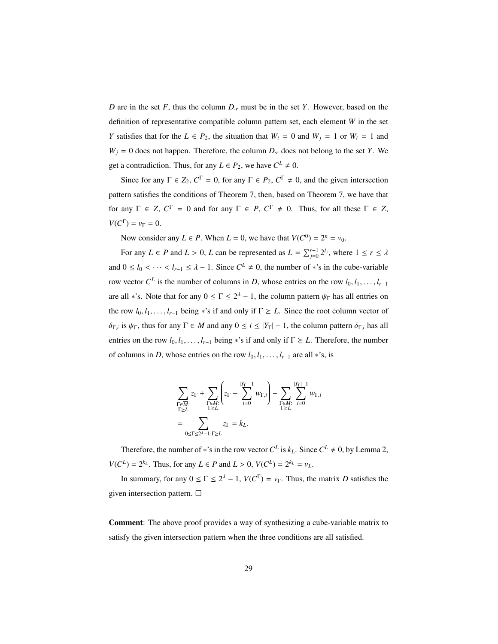*D* are in the set *F*, thus the column *D*·*<sup>r</sup>* must be in the set *Y*. However, based on the definition of representative compatible column pattern set, each element *W* in the set *Y* satisfies that for the  $L \in P_2$ , the situation that  $W_i = 0$  and  $W_j = 1$  or  $W_i = 1$  and  $W_i = 0$  does not happen. Therefore, the column  $D_i$  does not belong to the set *Y*. We get a contradiction. Thus, for any  $L \in P_2$ , we have  $C^L \neq 0$ .

Since for any  $\Gamma \in Z_2$ ,  $C^{\Gamma} = 0$ , for any  $\Gamma \in P_2$ ,  $C^{\Gamma} \neq 0$ , and the given intersection pattern satisfies the conditions of Theorem 7, then, based on Theorem 7, we have that for any  $\Gamma \in Z$ ,  $C^{\Gamma} = 0$  and for any  $\Gamma \in P$ ,  $C^{\Gamma} \neq 0$ . Thus, for all these  $\Gamma \in Z$ ,  $V(C^{\Gamma}) = v_{\Gamma} = 0.$ 

Now consider any  $L \in P$ . When  $L = 0$ , we have that  $V(C^0) = 2^n = v_0$ .

For any *L*  $\in$  *P* and *L* > 0, *L* can be represented as  $L = \sum_{j=0}^{r-1} 2^{l_j}$ , where  $1 \le r \le \lambda$ and  $0 \le l_0 < \cdots < l_{r-1} \le \lambda - 1$ . Since  $C^L \ne 0$ , the number of \*'s in the cube-variable row vector  $C^L$  is the number of columns in *D*, whose entries on the row  $l_0, l_1, \ldots, l_{r-1}$ are all \*'s. Note that for any  $0 \le \Gamma \le 2^{\lambda} - 1$ , the column pattern  $\psi_{\Gamma}$  has all entries on the row  $l_0, l_1, \ldots, l_{r-1}$  being \*'s if and only if  $\Gamma \geq L$ . Since the root column vector of  $δ_{Γ,i}$  is  $ψ_{Γ}$ , thus for any  $Γ ∈ M$  and any  $0 ≤ i ≤ |Y_{Γ}| − 1$ , the column pattern  $δ_{Γ,i}$  has all entries on the row  $l_0, l_1, \ldots, l_{r-1}$  being \*'s if and only if  $\Gamma \geq L$ . Therefore, the number of columns in *D*, whose entries on the row  $l_0, l_1, \ldots, l_{r-1}$  are all ∗'s, is

$$
\begin{split} &\sum_{\substack{\Gamma\in\overline{M}:\\\Gamma\geq L}}z_{\Gamma}+\sum_{\substack{\Gamma\in M:\\ \Gamma\geq L}}\left(z_{\Gamma}-\sum_{i=0}^{|Y_{\Gamma}|-1}w_{\Gamma,i}\right)+\sum_{\substack{\Gamma\in M:\\ \Gamma\geq L}}\sum_{i=0}^{|Y_{\Gamma}|-1}w_{\Gamma,i}\\ &\leq \sum_{0\leq \Gamma\leq 2^{\lambda}-1:\Gamma\geq L}z_{\Gamma}=k_{L}. \end{split}
$$

Therefore, the number of \*'s in the row vector  $C^L$  is  $k_L$ . Since  $C^L \neq 0$ , by Lemma 2, *V*(*C*<sup>*L*</sup>) =  $2^{k_L}$ . Thus, for any *L* ∈ *P* and *L* > 0, *V*(*C*<sup>*L*</sup>) =  $2^{k_L} = v_L$ .

In summary, for any  $0 \le \Gamma \le 2^{\lambda} - 1$ ,  $V(C^{\Gamma}) = v_{\Gamma}$ . Thus, the matrix *D* satisfies the given intersection pattern.  $\Box$ 

Comment: The above proof provides a way of synthesizing a cube-variable matrix to satisfy the given intersection pattern when the three conditions are all satisfied.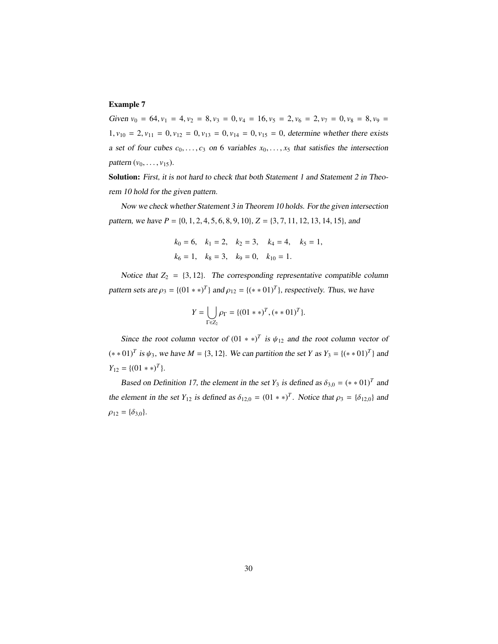# Example 7

Given  $v_0 = 64$ ,  $v_1 = 4$ ,  $v_2 = 8$ ,  $v_3 = 0$ ,  $v_4 = 16$ ,  $v_5 = 2$ ,  $v_6 = 2$ ,  $v_7 = 0$ ,  $v_8 = 8$ ,  $v_9 = 16$  $1, v_{10} = 2, v_{11} = 0, v_{12} = 0, v_{13} = 0, v_{14} = 0, v_{15} = 0$ , determine whether there exists a set of four cubes  $c_0, \ldots, c_3$  on 6 variables  $x_0, \ldots, x_5$  that satisfies the intersection *pattern*  $(v_0, \ldots, v_{15})$ .

Solution: First, it is not hard to check that both Statement 1 and Statement 2 in Theorem 10 hold for the given pattern.

Now we check whether Statement 3 in Theorem 10 holds. For the given intersection pattern, we have *<sup>P</sup>* <sup>=</sup> {0, <sup>1</sup>, <sup>2</sup>, <sup>4</sup>, <sup>5</sup>, <sup>6</sup>, <sup>8</sup>, <sup>9</sup>, <sup>10</sup>}, *<sup>Z</sup>* <sup>=</sup> {3, <sup>7</sup>, <sup>11</sup>, <sup>12</sup>, <sup>13</sup>, <sup>14</sup>, <sup>15</sup>}, and

$$
k_0 = 6
$$
,  $k_1 = 2$ ,  $k_2 = 3$ ,  $k_4 = 4$ ,  $k_5 = 1$ ,  
 $k_6 = 1$ ,  $k_8 = 3$ ,  $k_9 = 0$ ,  $k_{10} = 1$ .

Notice that  $Z_2 = \{3, 12\}$ . The corresponding representative compatible column pattern sets are  $\rho_3 = \{(01 \times \mathbb{R})^T\}$  and  $\rho_{12} = \{(\mathbb{R} \times 01)^T\}$ , respectively. Thus, we have

$$
Y = \bigcup_{\Gamma \in Z_2} \rho_{\Gamma} = \{ (01**)^T, (**01)^T \}.
$$

Since the root column vector of  $(01 \ast \ast)^T$  is  $\psi_{12}$  and the root column vector of  $(**01)<sup>T</sup>$  *is*  $ψ_3$ , we have *M* = {3, 12}. We can partition the set *Y* as *Y*<sub>3</sub> = { $(**01)<sup>T</sup>$ } and  $Y_{12} = \{(01**)^T\}.$ 

Based on Definition 17, the element in the set  $Y_3$  is defined as  $\delta_{3,0} = (*0.1)^T$  and the element in the set  $Y_{12}$  is defined as  $\delta_{12,0} = (01 \ast \ast)^T$ . Notice that  $\rho_3 = \{\delta_{12,0}\}\$  and  $\rho_{12} = {\delta_{3,0}}.$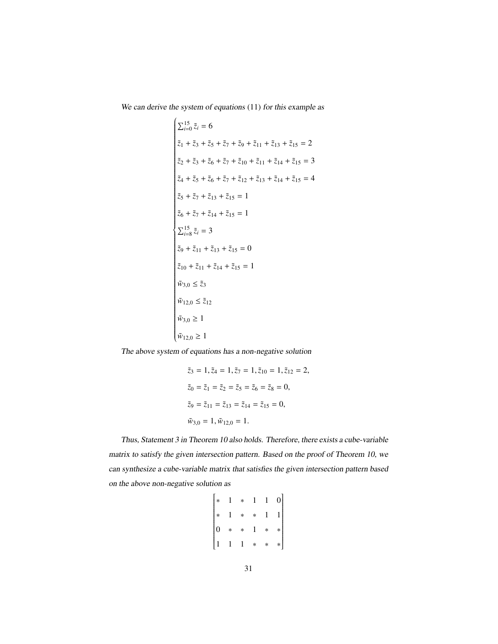We can derive the system of equations (11) for this example as

$$
\begin{cases}\n\sum_{i=0}^{15} \tilde{z}_i = 6 \\
\tilde{z}_1 + \tilde{z}_3 + \tilde{z}_5 + \tilde{z}_7 + \tilde{z}_9 + \tilde{z}_{11} + \tilde{z}_{13} + \tilde{z}_{15} = 2 \\
\tilde{z}_2 + \tilde{z}_3 + \tilde{z}_6 + \tilde{z}_7 + \tilde{z}_{10} + \tilde{z}_{11} + \tilde{z}_{14} + \tilde{z}_{15} = 3 \\
\tilde{z}_4 + \tilde{z}_5 + \tilde{z}_6 + \tilde{z}_7 + \tilde{z}_{12} + \tilde{z}_{13} + \tilde{z}_{14} + \tilde{z}_{15} = 4 \\
\tilde{z}_5 + \tilde{z}_7 + \tilde{z}_{13} + \tilde{z}_{15} = 1 \\
\tilde{z}_6 + \tilde{z}_7 + \tilde{z}_{14} + \tilde{z}_{15} = 1 \\
\sum_{i=8}^{15} \tilde{z}_i = 3 \\
\tilde{z}_9 + \tilde{z}_{11} + \tilde{z}_{13} + \tilde{z}_{15} = 0 \\
\tilde{z}_{10} + \tilde{z}_{11} + \tilde{z}_{14} + \tilde{z}_{15} = 1 \\
\tilde{w}_{3,0} \le \tilde{z}_3 \\
\tilde{w}_{12,0} \le \tilde{z}_{12} \\
\tilde{w}_{3,0} \ge 1 \\
\tilde{w}_{12,0} \ge 1\n\end{cases}
$$

The above system of equations has a non-negative solution

$$
\tilde{z}_3 = 1, \tilde{z}_4 = 1, \tilde{z}_7 = 1, \tilde{z}_{10} = 1, \tilde{z}_{12} = 2,
$$
  
\n $\tilde{z}_0 = \tilde{z}_1 = \tilde{z}_2 = \tilde{z}_5 = \tilde{z}_6 = \tilde{z}_8 = 0,$   
\n $\tilde{z}_9 = \tilde{z}_{11} = \tilde{z}_{13} = \tilde{z}_{14} = \tilde{z}_{15} = 0,$   
\n $\tilde{w}_{3,0} = 1, \tilde{w}_{12,0} = 1.$ 

Thus, Statement 3 in Theorem 10 also holds. Therefore, there exists a cube-variable matrix to satisfy the given intersection pattern. Based on the proof of Theorem 10, we can synthesize a cube-variable matrix that satisfies the given intersection pattern based on the above non-negative solution as

$$
\begin{bmatrix} * & 1 & * & 1 & 1 & 0 \\ * & 1 & * & * & 1 & 1 \\ 0 & * & * & 1 & * & * \\ 1 & 1 & 1 & * & * & * \end{bmatrix}
$$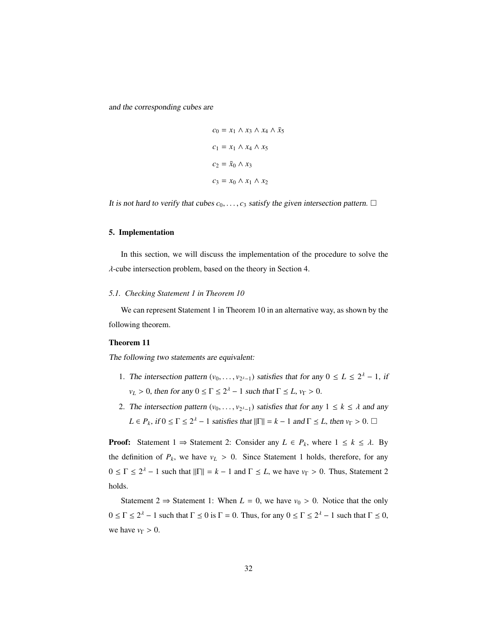and the corresponding cubes are

$$
c_0 = x_1 \wedge x_3 \wedge x_4 \wedge \bar{x}_5
$$

$$
c_1 = x_1 \wedge x_4 \wedge x_5
$$

$$
c_2 = \bar{x}_0 \wedge x_3
$$

$$
c_3 = x_0 \wedge x_1 \wedge x_2
$$

It is not hard to verify that cubes  $c_0, \ldots, c_3$  satisfy the given intersection pattern.  $\Box$ 

# 5. Implementation

In this section, we will discuss the implementation of the procedure to solve the λ-cube intersection problem, based on the theory in Section 4.

#### *5.1. Checking Statement 1 in Theorem 10*

We can represent Statement 1 in Theorem 10 in an alternative way, as shown by the following theorem.

### Theorem 11

The following two statements are equivalent:

- 1. The intersection pattern  $(v_0, \ldots, v_{2^{\lambda}-1})$  satisfies that for any  $0 \le L \le 2^{\lambda} 1$ , if  $v_L > 0$ , then for any  $0 \le \Gamma \le 2^{\lambda} - 1$  such that  $\Gamma \le L$ ,  $v_{\Gamma} > 0$ .
- 2. The intersection pattern  $(v_0, \ldots, v_{2^{\lambda}-1})$  satisfies that for any  $1 \leq k \leq \lambda$  and any  $L \in P_k$ , if  $0 \le \Gamma \le 2^{\lambda} - 1$  satisfies that  $||\Gamma|| = k - 1$  and  $\Gamma \le L$ , then  $v_{\Gamma} > 0$ .  $\Box$

**Proof:** Statement 1  $\Rightarrow$  Statement 2: Consider any  $L \in P_k$ , where  $1 \leq k \leq \lambda$ . By the definition of  $P_k$ , we have  $v_L > 0$ . Since Statement 1 holds, therefore, for any  $0 \leq \Gamma \leq 2^{\lambda} - 1$  such that  $\|\Gamma\| = k - 1$  and  $\Gamma \leq L$ , we have  $v_{\Gamma} > 0$ . Thus, Statement 2 holds.

Statement 2  $\Rightarrow$  Statement 1: When *L* = 0, we have  $v_0 > 0$ . Notice that the only  $0 \leq \Gamma \leq 2^{\lambda} - 1$  such that  $\Gamma \leq 0$  is  $\Gamma = 0$ . Thus, for any  $0 \leq \Gamma \leq 2^{\lambda} - 1$  such that  $\Gamma \leq 0$ , we have  $v_{\Gamma} > 0$ .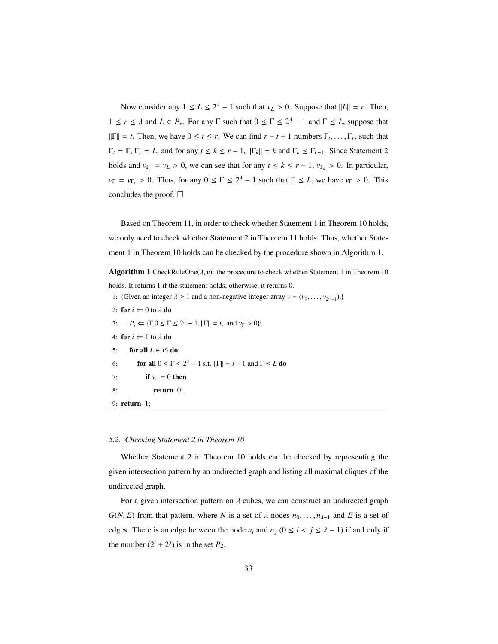Now consider any  $1 \le L \le 2^{\lambda} - 1$  such that  $v_L > 0$ . Suppose that  $||L|| = r$ . Then,  $1 \le r \le \lambda$  and  $L \in P_r$ . For any  $\Gamma$  such that  $0 \le \Gamma \le 2^{\lambda} - 1$  and  $\Gamma \le L$ , suppose that  $||\Gamma|| = t$ . Then, we have  $0 \le t \le r$ . We can find  $r - t + 1$  numbers  $\Gamma_t, \ldots, \Gamma_r$ , such that  $\Gamma_t = \Gamma$ ,  $\Gamma_r = L$ , and for any  $t \le k \le r - 1$ ,  $\|\Gamma_k\| = k$  and  $\Gamma_k \le \Gamma_{k+1}$ . Since Statement 2 holds and  $v_{\Gamma_r} = v_L > 0$ , we can see that for any  $t \le k \le r - 1$ ,  $v_{\Gamma_k} > 0$ . In particular,  $v_{\Gamma} = v_{\Gamma_t} > 0$ . Thus, for any  $0 \le \Gamma \le 2^{\lambda} - 1$  such that  $\Gamma \le L$ , we have  $v_{\Gamma} > 0$ . This concludes the proof.  $\square$ 

Based on Theorem 11, in order to check whether Statement 1 in Theorem 10 holds, we only need to check whether Statement 2 in Theorem 11 holds. Thus, whether Statement 1 in Theorem 10 holds can be checked by the procedure shown in Algorithm 1.

**Algorithm 1** CheckRuleOne( $\lambda$ ,  $\nu$ ): the procedure to check whether Statement 1 in Theorem 10 holds. It returns 1 if the statement holds; otherwise, it returns 0.

1: {Given an integer  $\lambda \ge 1$  and a non-negative integer array  $v = (v_0, \dots, v_{2^{\lambda}-1})$ .} 2: **for**  $i \Leftarrow 0$  to  $\lambda$  **do**<br>3:  $P_i \Leftarrow {\Gamma} \mid 0 \leq \Gamma$ 3:  $P_i \leftarrow {\{\Gamma | 0 \le \Gamma \le 2^{\lambda} - 1, ||\Gamma|| = i, \text{ and } \nu_{\Gamma} > 0\}};$ 4: for  $i \Leftarrow 1$  to  $\lambda$  do<br>5: for all  $L \in P_i$  do for all  $L \in P_i$  do 6: **for all**  $0 \le \Gamma \le 2^{\lambda} - 1$  s.t.  $\|\Gamma\| = i - 1$  and  $\Gamma \le L$  **do** 7: **if**  $v_{\Gamma} = 0$  then 8: return 0; 9: return 1;

# *5.2. Checking Statement 2 in Theorem 10*

Whether Statement 2 in Theorem 10 holds can be checked by representing the given intersection pattern by an undirected graph and listing all maximal cliques of the undirected graph.

For a given intersection pattern on  $\lambda$  cubes, we can construct an undirected graph *G*(*N*, *E*) from that pattern, where *N* is a set of  $\lambda$  nodes  $n_0, \ldots, n_{\lambda-1}$  and *E* is a set of edges. There is an edge between the node  $n_i$  and  $n_j$  ( $0 \le i \le j \le \lambda - 1$ ) if and only if the number  $(2^i + 2^j)$  is in the set  $P_2$ .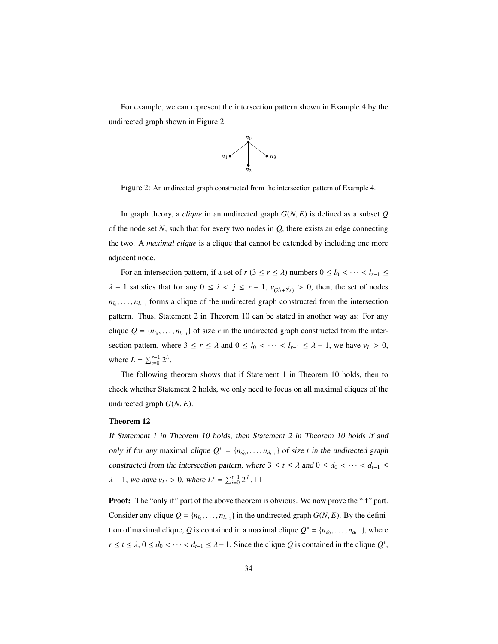For example, we can represent the intersection pattern shown in Example 4 by the undirected graph shown in Figure 2.



Figure 2: An undirected graph constructed from the intersection pattern of Example 4.

In graph theory, a *clique* in an undirected graph  $G(N, E)$  is defined as a subset  $Q$ of the node set  $N$ , such that for every two nodes in  $Q$ , there exists an edge connecting the two. A *maximal clique* is a clique that cannot be extended by including one more adjacent node.

For an intersection pattern, if a set of *r* (3 ≤ *r* ≤  $\lambda$ ) numbers  $0 \le l_0 < \cdots < l_{r-1} \le$  $λ$  − 1 satisfies that for any  $0 ≤ i < j ≤ r - 1$ ,  $v_{(2^{l_i}+2^{l_j})} > 0$ , then, the set of nodes  $n_{l_0}, \ldots, n_{l_{r-1}}$  forms a clique of the undirected graph constructed from the intersection pattern. Thus, Statement 2 in Theorem 10 can be stated in another way as: For any clique  $Q = \{n_{l_0}, \ldots, n_{l_{r-1}}\}$  of size *r* in the undirected graph constructed from the intersection pattern, where  $3 \le r \le \lambda$  and  $0 \le l_0 < \cdots < l_{r-1} \le \lambda - 1$ , we have  $v_L > 0$ , where  $L = \sum_{i=0}^{r-1} 2^{l_i}$ .

The following theorem shows that if Statement 1 in Theorem 10 holds, then to check whether Statement 2 holds, we only need to focus on all maximal cliques of the undirected graph  $G(N, E)$ .

### Theorem 12

If Statement 1 in Theorem 10 holds, then Statement 2 in Theorem 10 holds if and only if for any maximal clique  $Q^* = \{n_{d_0}, \ldots, n_{d_{t-1}}\}$  of size *t* in the undirected graph constructed from the intersection pattern, where  $3 \le t \le \lambda$  and  $0 \le d_0 < \cdots < d_{t-1} \le$  $\lambda - 1$ , we have  $v_{L^*} > 0$ , where  $L^* = \sum_{i=0}^{t-1} 2^{d_i}$ .  $\Box$ 

**Proof:** The "only if" part of the above theorem is obvious. We now prove the "if" part. Consider any clique  $Q = \{n_{l_0}, \ldots, n_{l_{r-1}}\}$  in the undirected graph  $G(N, E)$ . By the definition of maximal clique, *Q* is contained in a maximal clique  $Q^* = \{n_{d_0}, \ldots, n_{d_{t-1}}\}$ , where  $r \le t \le \lambda$ ,  $0 \le d_0 < \cdots < d_{t-1} \le \lambda - 1$ . Since the clique *Q* is contained in the clique *Q*<sup>\*</sup>,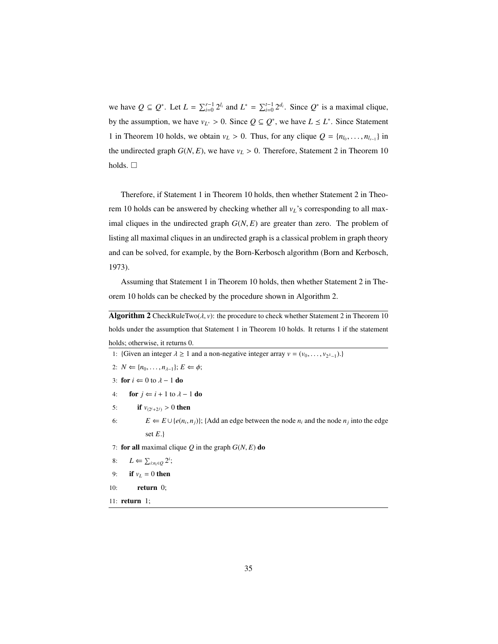we have  $Q \subseteq Q^*$ . Let  $L = \sum_{i=0}^{r-1} 2^{l_i}$  and  $L^* = \sum_{i=0}^{t-1} 2^{d_i}$ . Since  $Q^*$  is a maximal clique, by the assumption, we have  $v_{L^*} > 0$ . Since  $Q \subseteq Q^*$ , we have  $L \leq L^*$ . Since Statement 1 in Theorem 10 holds, we obtain  $v_L > 0$ . Thus, for any clique  $Q = \{n_{l_0}, \ldots, n_{l_{r-1}}\}$  in the undirected graph  $G(N, E)$ , we have  $v_L > 0$ . Therefore, Statement 2 in Theorem 10 holds.  $\square$ 

Therefore, if Statement 1 in Theorem 10 holds, then whether Statement 2 in Theorem 10 holds can be answered by checking whether all *vL*'s corresponding to all maximal cliques in the undirected graph *<sup>G</sup>*(*N*, *<sup>E</sup>*) are greater than zero. The problem of listing all maximal cliques in an undirected graph is a classical problem in graph theory and can be solved, for example, by the Born-Kerbosch algorithm (Born and Kerbosch, 1973).

Assuming that Statement 1 in Theorem 10 holds, then whether Statement 2 in Theorem 10 holds can be checked by the procedure shown in Algorithm 2.

**Algorithm 2** CheckRuleTwo( $\lambda$ ,  $v$ ): the procedure to check whether Statement 2 in Theorem 10 holds under the assumption that Statement 1 in Theorem 10 holds. It returns 1 if the statement holds; otherwise, it returns 0.

- 1: {Given an integer  $\lambda \ge 1$  and a non-negative integer array  $v = (v_0, \dots, v_{2\lambda-1})$ .}
- 2:  $N \leftarrow \{n_0, \ldots, n_{\lambda-1}\}; E \leftarrow \phi;$
- 3: **for**  $i \Leftarrow 0$  to  $\lambda 1$  **do**
- 4: **for**  $j \Leftarrow i + 1$  to  $\lambda 1$  **do**
- 5: **if**  $v_{(2^i+2^j)} > 0$  then
- 6:  $E \leftarrow E \cup \{e(n_i, n_j)\};$  {Add an edge between the node  $n_i$  and the node  $n_j$  into the edge set *E*.}

7: for all maximal clique  $Q$  in the graph  $G(N, E)$  do

- 8:  $L \Leftarrow \sum_{i:n_i \in Q} 2^i;$
- 9: if  $v_L = 0$  then
- 10: return 0;
- 11: return 1;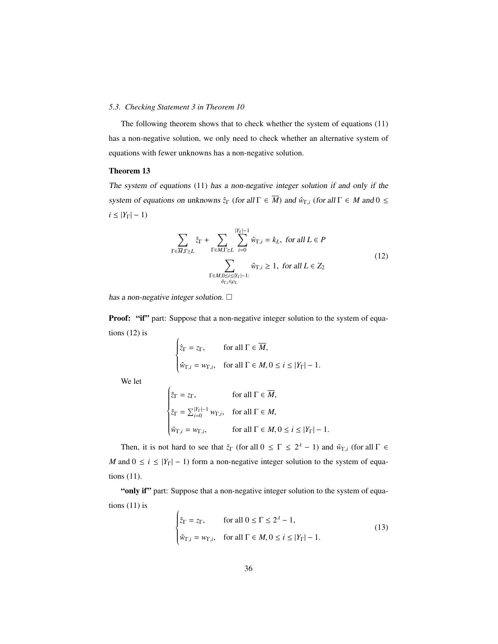# *5.3. Checking Statement 3 in Theorem 10*

The following theorem shows that to check whether the system of equations (11) has a non-negative solution, we only need to check whether an alternative system of equations with fewer unknowns has a non-negative solution.

#### Theorem 13

The system of equations (11) has a non-negative integer solution if and only if the system of equations on unknowns  $\hat{z}_{\Gamma}$  (for all  $\Gamma \in \overline{M}$ ) and  $\hat{w}_{\Gamma,i}$  (for all  $\Gamma \in M$  and  $0 \leq$  $i$  ≤ |*Y*<sub>Γ</sub>| − 1)

$$
\sum_{\Gamma \in \overline{M}, \Gamma \ge L} \hat{z}_{\Gamma} + \sum_{\Gamma \in M, \Gamma \ge L} \sum_{i=0}^{|Y_{\Gamma}| - 1} \hat{w}_{\Gamma, i} = k_{L}, \text{ for all } L \in P
$$
\n
$$
\sum_{\substack{\Gamma \in M, 0 \le i \le |Y_{\Gamma}| - 1:\\ \delta_{\Gamma, i} \in \rho_{L}}} \hat{w}_{\Gamma, i} \ge 1, \text{ for all } L \in Z_{2}
$$
\n
$$
(12)
$$

has a non-negative integer solution.  $\square$ 

 $\overline{1}$ 

**Proof:** "if" part: Suppose that a non-negative integer solution to the system of equations (12) is

$$
\begin{cases} \hat{z}_{\Gamma} = z_{\Gamma}, & \text{for all } \Gamma \in \overline{M}, \\ \hat{w}_{\Gamma,i} = w_{\Gamma,i}, & \text{for all } \Gamma \in M, 0 \le i \le |Y_{\Gamma}| - 1. \end{cases}
$$

We let

$$
\begin{cases}\n\tilde{z}_{\Gamma} = z_{\Gamma}, & \text{for all } \Gamma \in \overline{M}, \\
\tilde{z}_{\Gamma} = \sum_{i=0}^{|Y_{\Gamma}|-1} w_{\Gamma,i}, & \text{for all } \Gamma \in M, \\
\tilde{w}_{\Gamma,i} = w_{\Gamma,i}, & \text{for all } \Gamma \in M, 0 \le i \le |Y_{\Gamma}|-1.\n\end{cases}
$$

Then, it is not hard to see that  $\tilde{z}_\Gamma$  (for all  $0 \leq \Gamma \leq 2^{\lambda} - 1$ ) and  $\tilde{w}_{\Gamma,i}$  (for all  $\Gamma \in$ *M* and  $0 \le i \le |Y_{\Gamma}| - 1$ ) form a non-negative integer solution to the system of equations (11).

"only if" part: Suppose that a non-negative integer solution to the system of equations (11) is

$$
\begin{cases} \tilde{z}_{\Gamma} = z_{\Gamma}, & \text{for all } 0 \le \Gamma \le 2^{\lambda} - 1, \\ \tilde{w}_{\Gamma,i} = w_{\Gamma,i}, & \text{for all } \Gamma \in M, 0 \le i \le |Y_{\Gamma}| - 1. \end{cases}
$$
(13)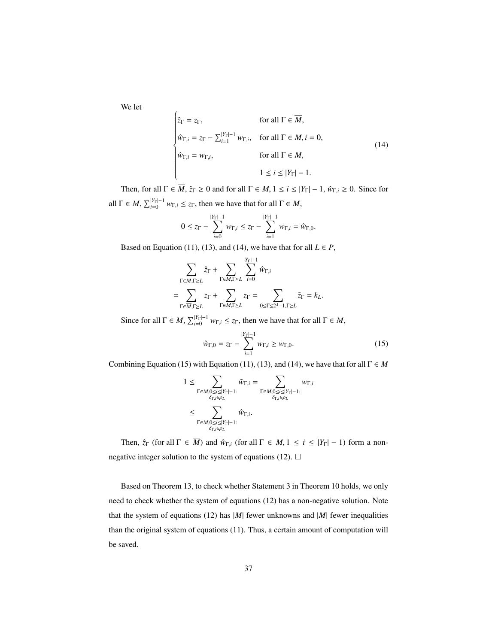We let

$$
\begin{cases}\n\hat{z}_{\Gamma} = z_{\Gamma}, & \text{for all } \Gamma \in \overline{M}, \\
\hat{w}_{\Gamma,i} = z_{\Gamma} - \sum_{i=1}^{|Y_{\Gamma}| - 1} w_{\Gamma,i}, & \text{for all } \Gamma \in M, i = 0, \\
\hat{w}_{\Gamma,i} = w_{\Gamma,i}, & \text{for all } \Gamma \in M, \\
1 \leq i \leq |Y_{\Gamma}| - 1.\n\end{cases}
$$
\n(14)

Then, for all  $\Gamma \in \overline{M}$ ,  $\hat{z}_{\Gamma} \ge 0$  and for all  $\Gamma \in M$ ,  $1 \le i \le |Y_{\Gamma}| - 1$ ,  $\hat{w}_{\Gamma,i} \ge 0$ . Since for all  $\Gamma \in M$ ,  $\sum_{i=0}^{|Y_{\Gamma}|-1} w_{\Gamma,i} \le z_{\Gamma}$ , then we have that for all  $\Gamma \in M$ ,

$$
0 \le z_{\Gamma} - \sum_{i=0}^{|Y_{\Gamma}|-1} w_{\Gamma,i} \le z_{\Gamma} - \sum_{i=1}^{|Y_{\Gamma}|-1} w_{\Gamma,i} = \hat{w}_{\Gamma,0}.
$$

Based on Equation (11), (13), and (14), we have that for all  $L \in P$ ,

$$
\sum_{\Gamma \in \overline{M}, \Gamma \ge L} \hat{z}_{\Gamma} + \sum_{\Gamma \in M, \Gamma \ge L} \sum_{i=0}^{|Y_{\Gamma}|-1} \hat{w}_{\Gamma, i}
$$
\n
$$
= \sum_{\Gamma \in \overline{M}, \Gamma \ge L} z_{\Gamma} + \sum_{\Gamma \in M, \Gamma \ge L} z_{\Gamma} = \sum_{0 \le \Gamma \le 2^{\lambda} - 1, \Gamma \ge L} \tilde{z}_{\Gamma} = k_{L}.
$$

Since for all  $\Gamma \in M$ ,  $\sum_{i=0}^{|Y_{\Gamma}|-1} w_{\Gamma,i} \le z_{\Gamma}$ , then we have that for all  $\Gamma \in M$ ,

$$
\hat{w}_{\Gamma,0} = z_{\Gamma} - \sum_{i=1}^{|Y_{\Gamma}|-1} w_{\Gamma,i} \ge w_{\Gamma,0}.
$$
\n(15)

Combining Equation (15) with Equation (11), (13), and (14), we have that for all  $\Gamma \in M$ 

$$
\begin{aligned} 1 &\leq \sum_{\Gamma \in M, 0 \leq i \leq |Y_{\Gamma}| - 1:} \tilde{w}_{\Gamma,i} = \sum_{\Gamma \in M, 0 \leq i \leq |Y_{\Gamma}| - 1:} w_{\Gamma,i} \\ &\leq \sum_{\Gamma \in M, 0 \leq i \leq |Y_{\Gamma}| - 1:} \hat{w}_{\Gamma,i}. \end{aligned}
$$

Then,  $\hat{z}_{\Gamma}$  (for all  $\Gamma \in \overline{M}$ ) and  $\hat{w}_{\Gamma,i}$  (for all  $\Gamma \in M$ ,  $1 \le i \le |Y_{\Gamma}| - 1$ ) form a nonnegative integer solution to the system of equations (12).  $\Box$ 

Based on Theorem 13, to check whether Statement 3 in Theorem 10 holds, we only need to check whether the system of equations (12) has a non-negative solution. Note that the system of equations (12) has  $|M|$  fewer unknowns and  $|M|$  fewer inequalities than the original system of equations (11). Thus, a certain amount of computation will be saved.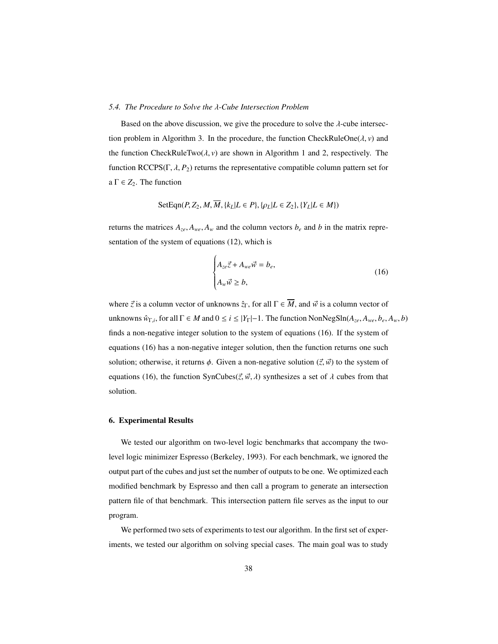#### *5.4. The Procedure to Solve the* λ*-Cube Intersection Problem*

Based on the above discussion, we give the procedure to solve the  $\lambda$ -cube intersection problem in Algorithm 3. In the procedure, the function CheckRuleOne( $\lambda$ ,  $\nu$ ) and the function CheckRuleTwo( $\lambda$ ,  $\nu$ ) are shown in Algorithm 1 and 2, respectively. The function RCCPS( $\Gamma$ ,  $\lambda$ ,  $P_2$ ) returns the representative compatible column pattern set for a  $\Gamma \in Z_2$ . The function

SetEqn
$$
(P, Z_2, M, \overline{M}, \{k_L | L \in P\}, \{\rho_L | L \in Z_2\}, \{Y_L | L \in M\})
$$

returns the matrices  $A_{ze}$ ,  $A_{we}$ ,  $A_w$  and the column vectors  $b_e$  and  $b$  in the matrix representation of the system of equations (12), which is

$$
\begin{cases} A_{ze}\vec{z} + A_{we}\vec{w} = b_e, \\ A_w\vec{w} \ge b, \end{cases}
$$
 (16)

where  $\vec{z}$  is a column vector of unknowns  $\hat{z}_\Gamma$ , for all  $\Gamma \in \overline{M}$ , and  $\vec{w}$  is a column vector of  $\text{unknowns } \hat{w}_{\Gamma,i}$ , for all  $\Gamma \in M$  and  $0 \le i \le |Y_{\Gamma}|-1$ . The function  $\text{NonNegSh}(A_{ze}, A_{we}, b_e, A_w, b)$ finds a non-negative integer solution to the system of equations (16). If the system of equations (16) has a non-negative integer solution, then the function returns one such solution; otherwise, it returns  $\phi$ . Given a non-negative solution  $(\vec{z}, \vec{w})$  to the system of equations (16), the function SynCubes( $\vec{z}, \vec{w}, \lambda$ ) synthesizes a set of  $\lambda$  cubes from that solution.

# 6. Experimental Results

We tested our algorithm on two-level logic benchmarks that accompany the twolevel logic minimizer Espresso (Berkeley, 1993). For each benchmark, we ignored the output part of the cubes and just set the number of outputs to be one. We optimized each modified benchmark by Espresso and then call a program to generate an intersection pattern file of that benchmark. This intersection pattern file serves as the input to our program.

We performed two sets of experiments to test our algorithm. In the first set of experiments, we tested our algorithm on solving special cases. The main goal was to study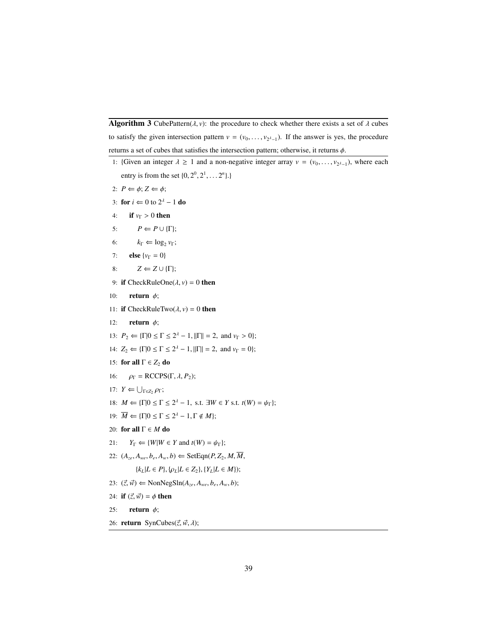**Algorithm 3** CubePattern( $\lambda$ ,  $\nu$ ): the procedure to check whether there exists a set of  $\lambda$  cubes to satisfy the given intersection pattern  $v = (v_0, \dots, v_{2^{\lambda}-1})$ . If the answer is yes, the procedure returns a set of cubes that satisfies the intersection pattern; otherwise, it returns  $\phi$ .

- 1: {Given an integer  $\lambda \ge 1$  and a non-negative integer array  $v = (v_0, \dots, v_{2^{\lambda}-1})$ , where each entry is from the set  $\{0, 2^0, 2^1, \dots 2^n\}$ .
- 2:  $P \Leftarrow \phi; Z \Leftarrow \phi;$
- 3: **for**  $i \Leftarrow 0$  to  $2^{\lambda} 1$  **do**
- 4: **if**  $v_{\Gamma} > 0$  then<br>5:  $P \Leftarrow P \cup {\Gamma}$
- $P \Leftarrow P \cup \{\Gamma\};$
- 6:  $k_{\Gamma} \Leftarrow \log_2 v_{\Gamma};$
- 7: **else** { $v_{\Gamma} = 0$ }
- 8:  $Z \Leftarrow Z \cup \{\Gamma\};$
- 9: if CheckRuleOne( $\lambda$ ,  $v$ ) = 0 then
- 10: **return**  $\phi$ ;
- 11: **if** CheckRuleTwo( $\lambda$ ,  $v$ ) = 0 **then**<br>12: **return**  $\phi$ ;
- return  $\phi$ ;
- 13:  $P_2 \leftarrow {\{\Gamma | 0 \le \Gamma \le 2^{\lambda} 1, ||\Gamma|| = 2, \text{ and } \nu_{\Gamma} > 0\}};$
- 14:  $Z_2 \leftarrow {\{\Gamma | 0 \le \Gamma \le 2^{\lambda} 1, ||\Gamma|| = 2, \text{ and } \nu_{\Gamma} = 0\};$
- 15: for all  $\Gamma \in Z_2$  do
- 16:  $\rho_{\Gamma} = \text{RCCPS}(\Gamma, \lambda, P_2);$
- 17:  $Y \leftarrow \bigcup_{\Gamma \in Z_2} \rho_{\Gamma};$
- 18:  $M \Leftarrow {\Gamma | 0 \le \Gamma \le 2^{\lambda} 1, \text{ s.t. } \exists W \in Y \text{ s.t. } t(W) = \psi_{\Gamma} };$
- 19:  $\overline{M} \leftarrow {\{\Gamma | 0 \leq \Gamma \leq 2^{\lambda} 1, \Gamma \notin M \}};$
- 20: for all Γ ∈ *M* do
- 21:  $Y_{\Gamma} \leftarrow \{W|W \in Y \text{ and } t(W) = \psi_{\Gamma}\};$
- 22:  $(A_{ze}, A_{we}, b_e, A_w, b) \leftarrow \text{SetEqn}(P, Z_2, M, \overline{M}, \overline{M})$

 ${k_L|L \in P}$ ,  ${\rho_L|L \in Z_2}$ ,  ${Y_L|L \in M}$ ;

- 23:  $(\vec{z}, \vec{w}) \Leftarrow \text{NonNegSh}(A_{ze}, A_{we}, b_e, A_w, b);$
- 24: **if**  $(\vec{z}, \vec{w}) = \phi$  then<br>25: **return**  $\phi$ ;
- return  $\phi$ ;
- 26: **return** SynCubes( $\vec{z}$ ,  $\vec{w}$ , λ);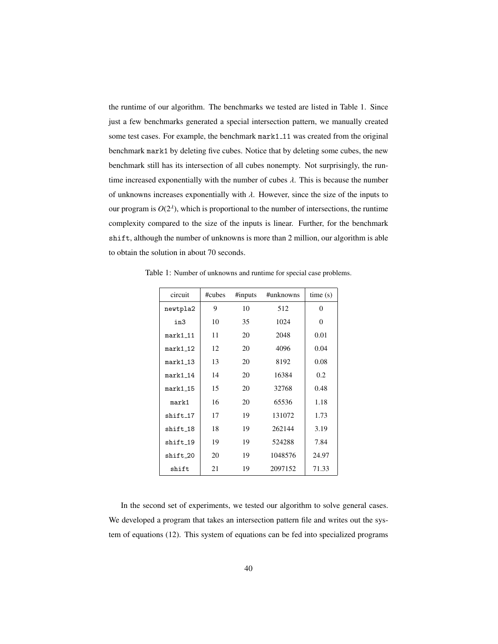the runtime of our algorithm. The benchmarks we tested are listed in Table 1. Since just a few benchmarks generated a special intersection pattern, we manually created some test cases. For example, the benchmark mark1\_11 was created from the original benchmark mark1 by deleting five cubes. Notice that by deleting some cubes, the new benchmark still has its intersection of all cubes nonempty. Not surprisingly, the runtime increased exponentially with the number of cubes  $\lambda$ . This is because the number of unknowns increases exponentially with  $\lambda$ . However, since the size of the inputs to our program is  $O(2^{\lambda})$ , which is proportional to the number of intersections, the runtime complexity compared to the size of the inputs is linear. Further, for the benchmark shift, although the number of unknowns is more than 2 million, our algorithm is able to obtain the solution in about 70 seconds.

| circuit    | #cubes | #inputs<br>#unknowns |         | time(s)  |
|------------|--------|----------------------|---------|----------|
| newtpla2   | 9      | 10                   | 512     | $\Omega$ |
| in3        | 10     | 35                   | 1024    | $\Omega$ |
| $mark1_11$ | 11     | 20                   | 2048    | 0.01     |
| mark1 12   | 12     | 20                   | 4096    | 0.04     |
| $mark1_13$ | 13     | 20                   | 8192    | 0.08     |
| $mark1_14$ | 14     | 20                   | 16384   | 0.2      |
| $mark1_15$ | 15     | 20                   | 32768   | 0.48     |
| mark1      | 16     | 20                   | 65536   | 1.18     |
| shift_17   | 17     | 19                   | 131072  | 1.73     |
| shift_18   | 18     | 19                   | 262144  | 3.19     |
| shift 19   | 19     | 19                   | 524288  | 7.84     |
| shift_20   | 20     | 19                   | 1048576 | 24.97    |
| shift      | 21     | 19                   | 2097152 | 71.33    |

Table 1: Number of unknowns and runtime for special case problems.

In the second set of experiments, we tested our algorithm to solve general cases. We developed a program that takes an intersection pattern file and writes out the system of equations (12). This system of equations can be fed into specialized programs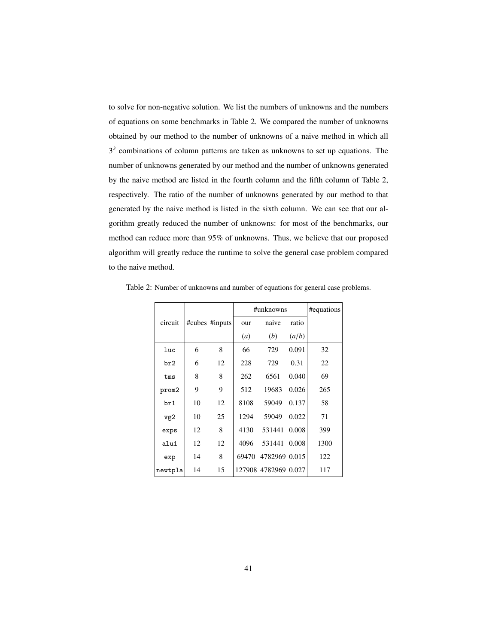to solve for non-negative solution. We list the numbers of unknowns and the numbers of equations on some benchmarks in Table 2. We compared the number of unknowns obtained by our method to the number of unknowns of a naive method in which all  $3<sup>A</sup>$  combinations of column patterns are taken as unknowns to set up equations. The number of unknowns generated by our method and the number of unknowns generated by the naive method are listed in the fourth column and the fifth column of Table 2, respectively. The ratio of the number of unknowns generated by our method to that generated by the naive method is listed in the sixth column. We can see that our algorithm greatly reduced the number of unknowns: for most of the benchmarks, our method can reduce more than 95% of unknowns. Thus, we believe that our proposed algorithm will greatly reduce the runtime to solve the general case problem compared to the naive method.

|            |    |                | #unknowns | #equations           |       |      |
|------------|----|----------------|-----------|----------------------|-------|------|
| circuit    |    | #cubes #inputs | our       | naive                | ratio |      |
|            |    |                | (a)       | (b)                  | (a/b) |      |
| luc        | 6  | 8              | 66        | 729                  | 0.091 | 32   |
| br2        | 6  | 12             | 228       | 729                  | 0.31  | 22   |
| tms        | 8  | 8              | 262       | 6561                 | 0.040 | 69   |
| prom2      | 9  | 9              | 512       | 19683                | 0.026 | 265  |
| br1        | 10 | 12             | 8108      | 59049                | 0.137 | 58   |
| vg2        | 10 | 25             | 1294      | 59049                | 0.022 | 71   |
| exps       | 12 | 8              | 4130      | 531441               | 0.008 | 399  |
| $a$ lu $1$ | 12 | 12             | 4096      | 531441               | 0.008 | 1300 |
| exp        | 14 | 8              | 69470     | 4782969 0.015        |       | 122  |
| newtpla    | 14 | 15             |           | 127908 4782969 0.027 |       | 117  |

Table 2: Number of unknowns and number of equations for general case problems.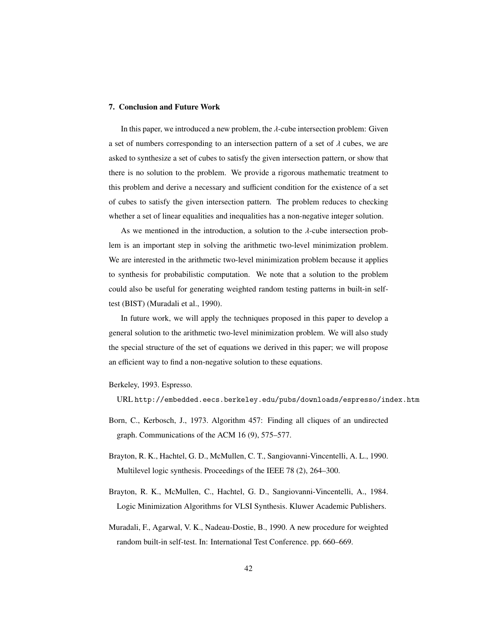### 7. Conclusion and Future Work

In this paper, we introduced a new problem, the  $\lambda$ -cube intersection problem: Given a set of numbers corresponding to an intersection pattern of a set of  $\lambda$  cubes, we are asked to synthesize a set of cubes to satisfy the given intersection pattern, or show that there is no solution to the problem. We provide a rigorous mathematic treatment to this problem and derive a necessary and sufficient condition for the existence of a set of cubes to satisfy the given intersection pattern. The problem reduces to checking whether a set of linear equalities and inequalities has a non-negative integer solution.

As we mentioned in the introduction, a solution to the  $\lambda$ -cube intersection problem is an important step in solving the arithmetic two-level minimization problem. We are interested in the arithmetic two-level minimization problem because it applies to synthesis for probabilistic computation. We note that a solution to the problem could also be useful for generating weighted random testing patterns in built-in selftest (BIST) (Muradali et al., 1990).

In future work, we will apply the techniques proposed in this paper to develop a general solution to the arithmetic two-level minimization problem. We will also study the special structure of the set of equations we derived in this paper; we will propose an efficient way to find a non-negative solution to these equations.

- Berkeley, 1993. Espresso.
	- URL http://embedded.eecs.berkeley.edu/pubs/downloads/espresso/index.htm
- Born, C., Kerbosch, J., 1973. Algorithm 457: Finding all cliques of an undirected graph. Communications of the ACM 16 (9), 575–577.
- Brayton, R. K., Hachtel, G. D., McMullen, C. T., Sangiovanni-Vincentelli, A. L., 1990. Multilevel logic synthesis. Proceedings of the IEEE 78 (2), 264–300.
- Brayton, R. K., McMullen, C., Hachtel, G. D., Sangiovanni-Vincentelli, A., 1984. Logic Minimization Algorithms for VLSI Synthesis. Kluwer Academic Publishers.
- Muradali, F., Agarwal, V. K., Nadeau-Dostie, B., 1990. A new procedure for weighted random built-in self-test. In: International Test Conference. pp. 660–669.